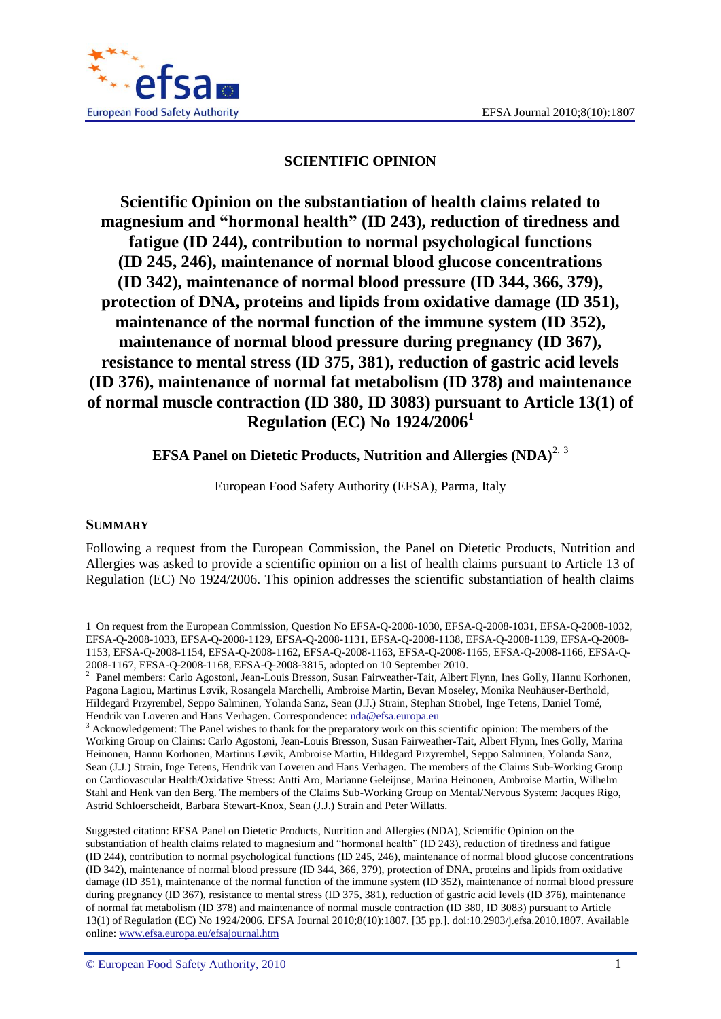

# **SCIENTIFIC OPINION**

**Scientific Opinion on the substantiation of health claims related to magnesium and "hormonal health" (ID 243), reduction of tiredness and fatigue (ID 244), contribution to normal psychological functions (ID 245, 246), maintenance of normal blood glucose concentrations (ID 342), maintenance of normal blood pressure (ID 344, 366, 379), protection of DNA, proteins and lipids from oxidative damage (ID 351), maintenance of the normal function of the immune system (ID 352), maintenance of normal blood pressure during pregnancy (ID 367), resistance to mental stress (ID 375, 381), reduction of gastric acid levels (ID 376), maintenance of normal fat metabolism (ID 378) and maintenance of normal muscle contraction (ID 380, ID 3083) pursuant to Article 13(1) of Regulation (EC) No 1924/2006<sup>1</sup>**

**EFSA Panel on Dietetic Products, Nutrition and Allergies (NDA)<sup>2, 3</sup>** 

European Food Safety Authority (EFSA), Parma, Italy

# <span id="page-0-0"></span>**SUMMARY**

l

Following a request from the European Commission, the Panel on Dietetic Products, Nutrition and Allergies was asked to provide a scientific opinion on a list of health claims pursuant to Article 13 of Regulation (EC) No 1924/2006. This opinion addresses the scientific substantiation of health claims

<sup>1</sup> On request from the European Commission, Question No EFSA-Q-2008-1030, EFSA-Q-2008-1031, EFSA-Q-2008-1032, EFSA-Q-2008-1033, EFSA-Q-2008-1129, EFSA-Q-2008-1131, EFSA-Q-2008-1138, EFSA-Q-2008-1139, EFSA-Q-2008- 1153, EFSA-Q-2008-1154, EFSA-Q-2008-1162, EFSA-Q-2008-1163, EFSA-Q-2008-1165, EFSA-Q-2008-1166, EFSA-Q-2008-1167, EFSA-Q-2008-1168, EFSA-Q-2008-3815, adopted on 10 September 2010.

<sup>&</sup>lt;sup>2</sup> Panel members: Carlo Agostoni, Jean-Louis Bresson, Susan Fairweather-Tait, Albert Flynn, Ines Golly, Hannu Korhonen, Pagona Lagiou, Martinus Løvik, Rosangela Marchelli, Ambroise Martin, Bevan Moseley, Monika Neuhäuser-Berthold, Hildegard Przyrembel, Seppo Salminen, Yolanda Sanz, Sean (J.J.) Strain, Stephan Strobel, Inge Tetens, Daniel Tomé, Hendrik van Loveren and Hans Verhagen. Correspondence[: nda@efsa.europa.eu](mailto:nda@efsa.europa.eu)

<sup>&</sup>lt;sup>3</sup> Acknowledgement: The Panel wishes to thank for the preparatory work on this scientific opinion: The members of the Working Group on Claims: Carlo Agostoni, Jean-Louis Bresson, Susan Fairweather-Tait, Albert Flynn, Ines Golly, Marina Heinonen, Hannu Korhonen, Martinus Løvik, Ambroise Martin, Hildegard Przyrembel, Seppo Salminen, Yolanda Sanz, Sean (J.J.) Strain, Inge Tetens, Hendrik van Loveren and Hans Verhagen. The members of the Claims Sub-Working Group on Cardiovascular Health/Oxidative Stress: Antti Aro, Marianne Geleijnse, Marina Heinonen, Ambroise Martin, Wilhelm Stahl and Henk van den Berg. The members of the Claims Sub-Working Group on Mental/Nervous System: Jacques Rigo, Astrid Schloerscheidt, Barbara Stewart-Knox, Sean (J.J.) Strain and Peter Willatts.

Suggested citation: EFSA Panel on Dietetic Products, Nutrition and Allergies (NDA), Scientific Opinion on the substantiation of health claims related to magnesium and "hormonal health" (ID 243), reduction of tiredness and fatigue (ID 244), contribution to normal psychological functions (ID 245, 246), maintenance of normal blood glucose concentrations (ID 342), maintenance of normal blood pressure (ID 344, 366, 379), protection of DNA, proteins and lipids from oxidative damage (ID 351), maintenance of the normal function of the immune system (ID 352), maintenance of normal blood pressure during pregnancy (ID 367), resistance to mental stress (ID 375, 381), reduction of gastric acid levels (ID 376), maintenance of normal fat metabolism (ID 378) and maintenance of normal muscle contraction (ID 380, ID 3083) pursuant to Article 13(1) of Regulation (EC) No 1924/2006. EFSA Journal 2010;8(10):1807. [35 pp.]. doi:10.2903/j.efsa.2010.1807. Available online: www.efsa.europa.eu/efsajournal.htm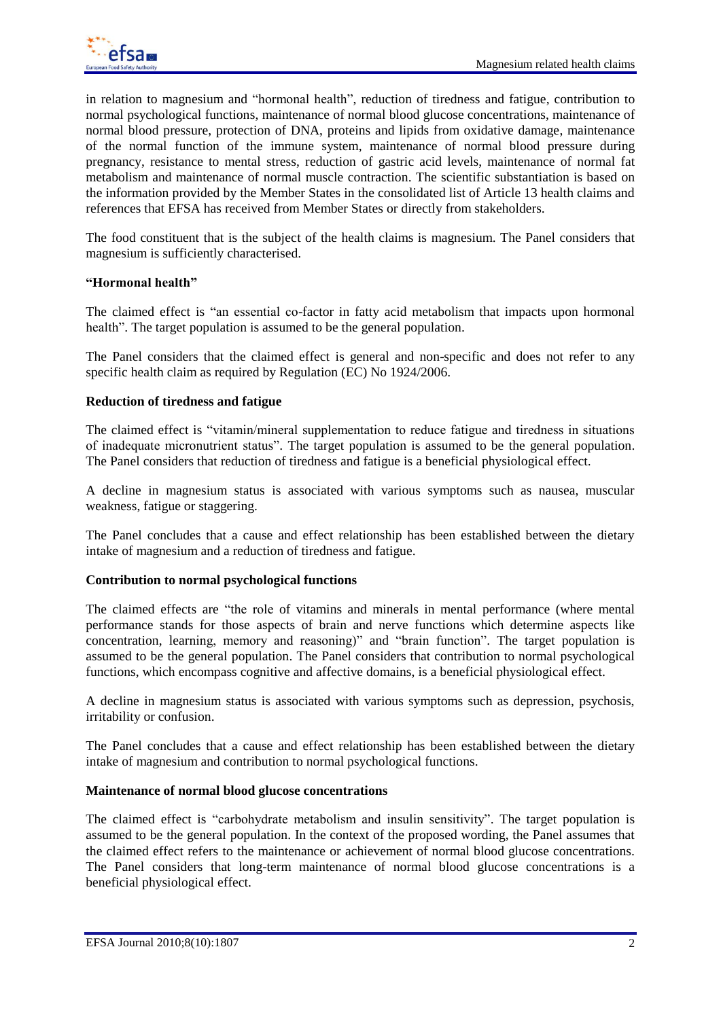in relation to magnesium and "hormonal health", reduction of tiredness and fatigue, contribution to normal psychological functions, maintenance of normal blood glucose concentrations, maintenance of normal blood pressure, protection of DNA, proteins and lipids from oxidative damage, maintenance of the normal function of the immune system, maintenance of normal blood pressure during pregnancy, resistance to mental stress, reduction of gastric acid levels, maintenance of normal fat metabolism and maintenance of normal muscle contraction. The scientific substantiation is based on the information provided by the Member States in the consolidated list of Article 13 health claims and references that EFSA has received from Member States or directly from stakeholders.

The food constituent that is the subject of the health claims is magnesium. The Panel considers that magnesium is sufficiently characterised.

### **"Hormonal health"**

The claimed effect is "an essential co-factor in fatty acid metabolism that impacts upon hormonal health". The target population is assumed to be the general population.

The Panel considers that the claimed effect is general and non-specific and does not refer to any specific health claim as required by Regulation (EC) No 1924/2006.

#### **Reduction of tiredness and fatigue**

The claimed effect is "vitamin/mineral supplementation to reduce fatigue and tiredness in situations of inadequate micronutrient status". The target population is assumed to be the general population. The Panel considers that reduction of tiredness and fatigue is a beneficial physiological effect.

A decline in magnesium status is associated with various symptoms such as nausea, muscular weakness, fatigue or staggering.

The Panel concludes that a cause and effect relationship has been established between the dietary intake of magnesium and a reduction of tiredness and fatigue.

#### **Contribution to normal psychological functions**

The claimed effects are "the role of vitamins and minerals in mental performance (where mental performance stands for those aspects of brain and nerve functions which determine aspects like concentration, learning, memory and reasoning)" and "brain function". The target population is assumed to be the general population. The Panel considers that contribution to normal psychological functions, which encompass cognitive and affective domains, is a beneficial physiological effect.

A decline in magnesium status is associated with various symptoms such as depression, psychosis, irritability or confusion.

The Panel concludes that a cause and effect relationship has been established between the dietary intake of magnesium and contribution to normal psychological functions.

#### **Maintenance of normal blood glucose concentrations**

The claimed effect is "carbohydrate metabolism and insulin sensitivity". The target population is assumed to be the general population. In the context of the proposed wording, the Panel assumes that the claimed effect refers to the maintenance or achievement of normal blood glucose concentrations. The Panel considers that long-term maintenance of normal blood glucose concentrations is a beneficial physiological effect.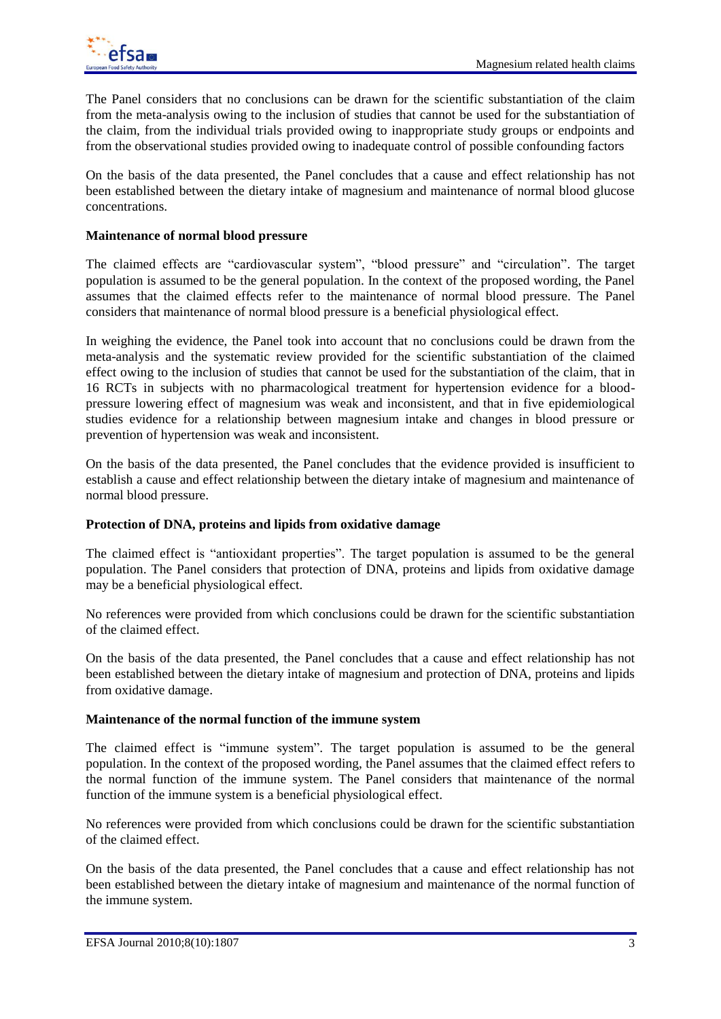The Panel considers that no conclusions can be drawn for the scientific substantiation of the claim from the meta-analysis owing to the inclusion of studies that cannot be used for the substantiation of the claim, from the individual trials provided owing to inappropriate study groups or endpoints and from the observational studies provided owing to inadequate control of possible confounding factors

On the basis of the data presented, the Panel concludes that a cause and effect relationship has not been established between the dietary intake of magnesium and maintenance of normal blood glucose concentrations.

# **Maintenance of normal blood pressure**

The claimed effects are "cardiovascular system", "blood pressure" and "circulation". The target population is assumed to be the general population. In the context of the proposed wording, the Panel assumes that the claimed effects refer to the maintenance of normal blood pressure. The Panel considers that maintenance of normal blood pressure is a beneficial physiological effect.

In weighing the evidence, the Panel took into account that no conclusions could be drawn from the meta-analysis and the systematic review provided for the scientific substantiation of the claimed effect owing to the inclusion of studies that cannot be used for the substantiation of the claim, that in 16 RCTs in subjects with no pharmacological treatment for hypertension evidence for a bloodpressure lowering effect of magnesium was weak and inconsistent, and that in five epidemiological studies evidence for a relationship between magnesium intake and changes in blood pressure or prevention of hypertension was weak and inconsistent.

On the basis of the data presented, the Panel concludes that the evidence provided is insufficient to establish a cause and effect relationship between the dietary intake of magnesium and maintenance of normal blood pressure.

### **Protection of DNA, proteins and lipids from oxidative damage**

The claimed effect is "antioxidant properties". The target population is assumed to be the general population. The Panel considers that protection of DNA, proteins and lipids from oxidative damage may be a beneficial physiological effect.

No references were provided from which conclusions could be drawn for the scientific substantiation of the claimed effect.

On the basis of the data presented, the Panel concludes that a cause and effect relationship has not been established between the dietary intake of magnesium and protection of DNA, proteins and lipids from oxidative damage.

#### **Maintenance of the normal function of the immune system**

The claimed effect is "immune system". The target population is assumed to be the general population. In the context of the proposed wording, the Panel assumes that the claimed effect refers to the normal function of the immune system. The Panel considers that maintenance of the normal function of the immune system is a beneficial physiological effect.

No references were provided from which conclusions could be drawn for the scientific substantiation of the claimed effect.

On the basis of the data presented, the Panel concludes that a cause and effect relationship has not been established between the dietary intake of magnesium and maintenance of the normal function of the immune system.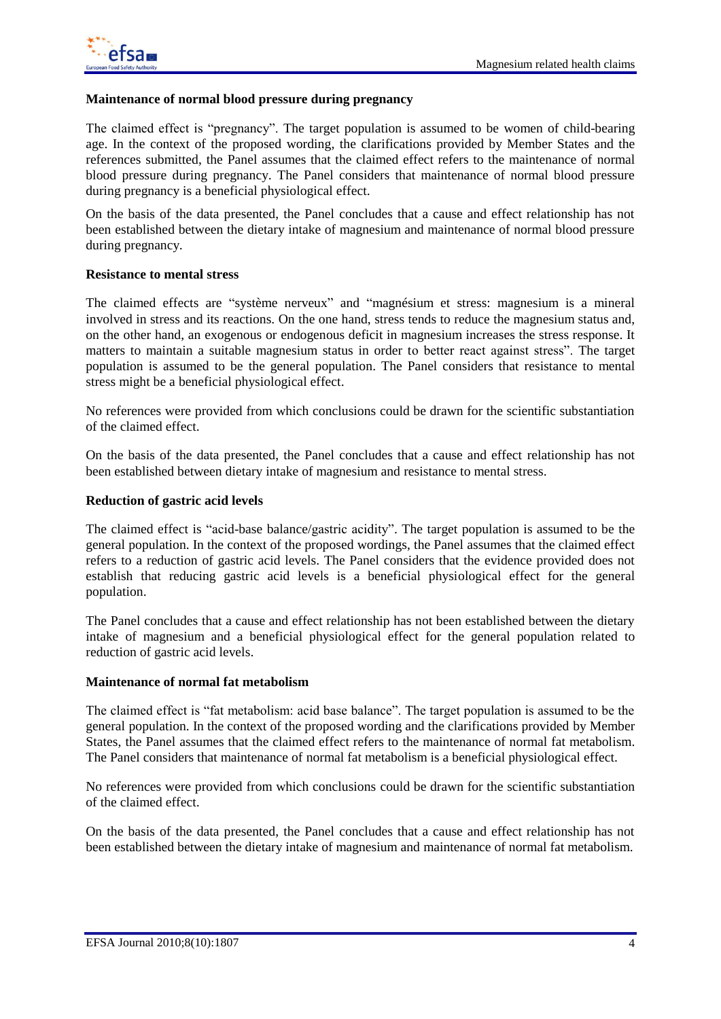

### **Maintenance of normal blood pressure during pregnancy**

The claimed effect is "pregnancy". The target population is assumed to be women of child-bearing age. In the context of the proposed wording, the clarifications provided by Member States and the references submitted, the Panel assumes that the claimed effect refers to the maintenance of normal blood pressure during pregnancy. The Panel considers that maintenance of normal blood pressure during pregnancy is a beneficial physiological effect.

On the basis of the data presented, the Panel concludes that a cause and effect relationship has not been established between the dietary intake of magnesium and maintenance of normal blood pressure during pregnancy*.*

#### **Resistance to mental stress**

The claimed effects are "système nerveux" and "magnésium et stress: magnesium is a mineral involved in stress and its reactions. On the one hand, stress tends to reduce the magnesium status and, on the other hand, an exogenous or endogenous deficit in magnesium increases the stress response. It matters to maintain a suitable magnesium status in order to better react against stress". The target population is assumed to be the general population. The Panel considers that resistance to mental stress might be a beneficial physiological effect.

No references were provided from which conclusions could be drawn for the scientific substantiation of the claimed effect.

On the basis of the data presented, the Panel concludes that a cause and effect relationship has not been established between dietary intake of magnesium and resistance to mental stress.

#### **Reduction of gastric acid levels**

The claimed effect is "acid-base balance/gastric acidity". The target population is assumed to be the general population. In the context of the proposed wordings, the Panel assumes that the claimed effect refers to a reduction of gastric acid levels. The Panel considers that the evidence provided does not establish that reducing gastric acid levels is a beneficial physiological effect for the general population.

The Panel concludes that a cause and effect relationship has not been established between the dietary intake of magnesium and a beneficial physiological effect for the general population related to reduction of gastric acid levels.

#### **Maintenance of normal fat metabolism**

The claimed effect is "fat metabolism: acid base balance". The target population is assumed to be the general population. In the context of the proposed wording and the clarifications provided by Member States, the Panel assumes that the claimed effect refers to the maintenance of normal fat metabolism. The Panel considers that maintenance of normal fat metabolism is a beneficial physiological effect.

No references were provided from which conclusions could be drawn for the scientific substantiation of the claimed effect.

On the basis of the data presented, the Panel concludes that a cause and effect relationship has not been established between the dietary intake of magnesium and maintenance of normal fat metabolism.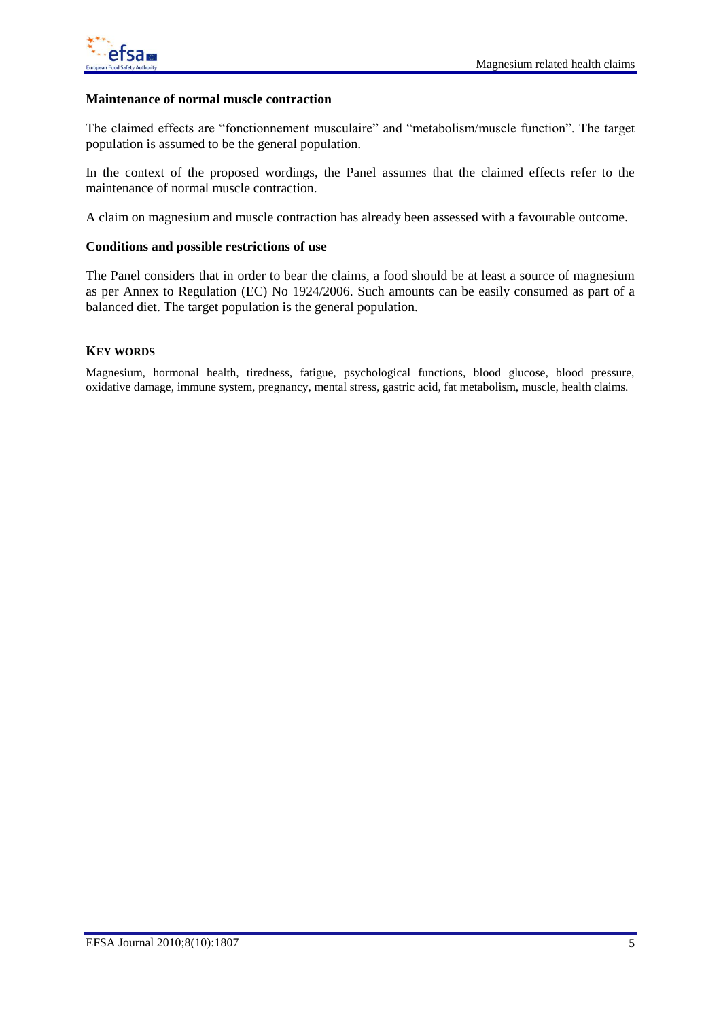

#### **Maintenance of normal muscle contraction**

The claimed effects are "fonctionnement musculaire" and "metabolism/muscle function". The target population is assumed to be the general population.

In the context of the proposed wordings, the Panel assumes that the claimed effects refer to the maintenance of normal muscle contraction.

A claim on magnesium and muscle contraction has already been assessed with a favourable outcome.

#### **Conditions and possible restrictions of use**

The Panel considers that in order to bear the claims, a food should be at least a source of magnesium as per Annex to Regulation (EC) No 1924/2006. Such amounts can be easily consumed as part of a balanced diet. The target population is the general population.

#### **KEY WORDS**

Magnesium, hormonal health, tiredness, fatigue, psychological functions, blood glucose, blood pressure, oxidative damage, immune system, pregnancy, mental stress, gastric acid, fat metabolism, muscle, health claims.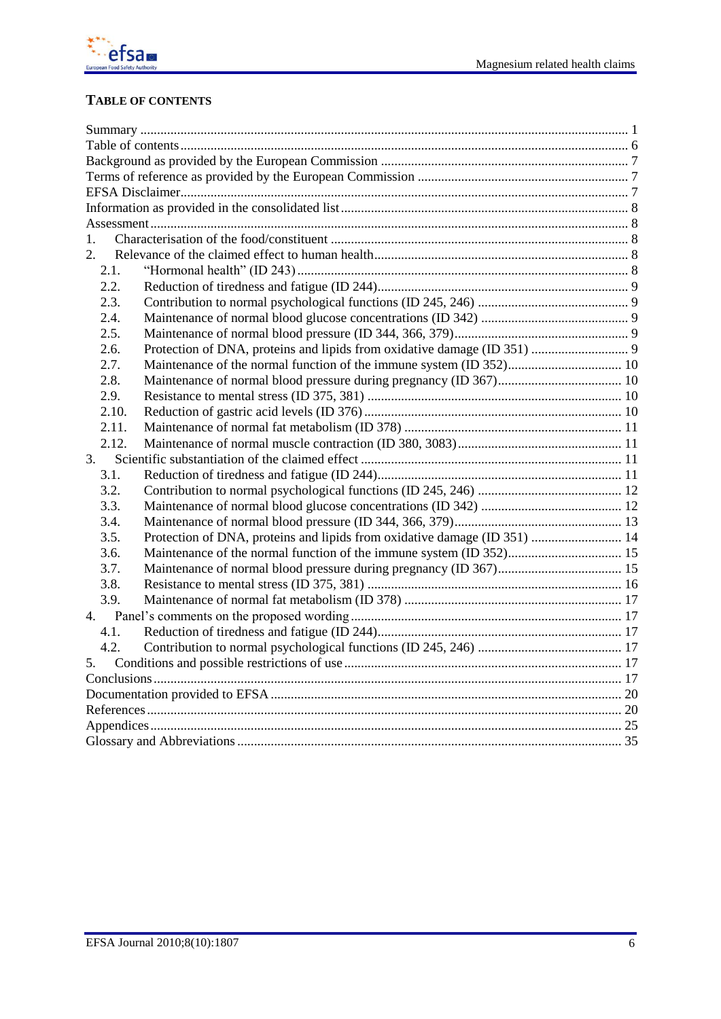

# <span id="page-5-0"></span>**TABLE OF CONTENTS**

| 1.                                                                                |  |
|-----------------------------------------------------------------------------------|--|
| 2.                                                                                |  |
| 2.1.                                                                              |  |
| 2.2.                                                                              |  |
| 2.3.                                                                              |  |
| 2.4.                                                                              |  |
| 2.5.                                                                              |  |
| 2.6.                                                                              |  |
| 2.7.                                                                              |  |
| 2.8.                                                                              |  |
| 2.9.                                                                              |  |
| 2.10.                                                                             |  |
| 2.11.                                                                             |  |
| 2.12.                                                                             |  |
| 3.                                                                                |  |
| 3.1.                                                                              |  |
| 3.2.                                                                              |  |
| 3.3.                                                                              |  |
| 3.4.                                                                              |  |
| Protection of DNA, proteins and lipids from oxidative damage (ID 351)  14<br>3.5. |  |
| 3.6.                                                                              |  |
| 3.7.                                                                              |  |
| 3.8.                                                                              |  |
| 3.9.                                                                              |  |
|                                                                                   |  |
| 4.1.                                                                              |  |
| 4.2.                                                                              |  |
| 5.                                                                                |  |
|                                                                                   |  |
|                                                                                   |  |
|                                                                                   |  |
|                                                                                   |  |
|                                                                                   |  |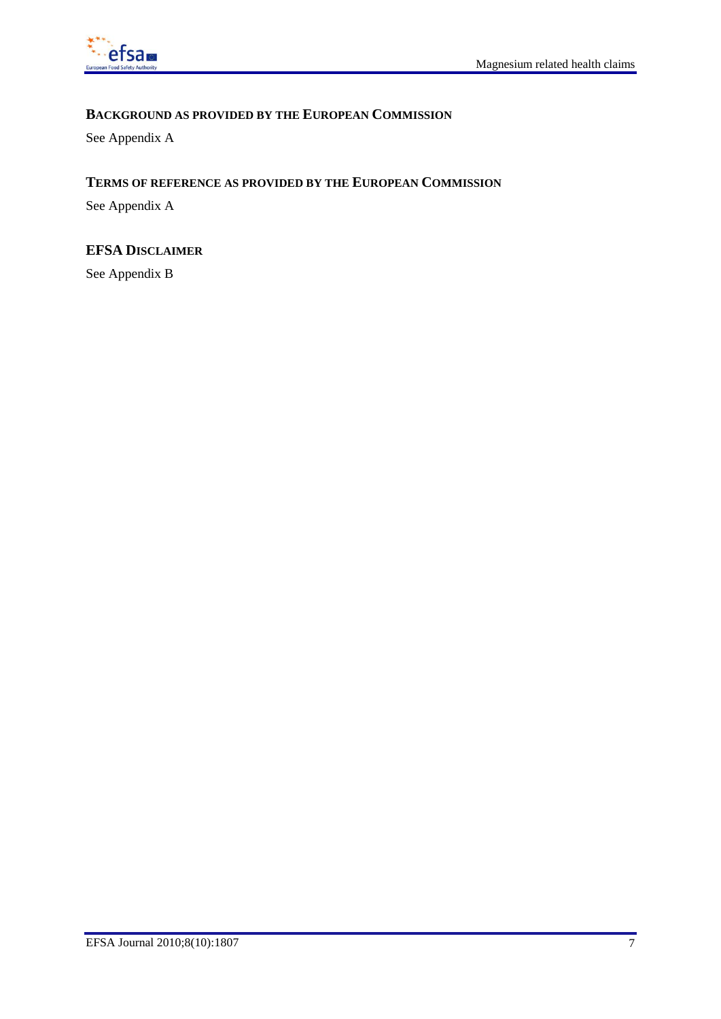

# <span id="page-6-0"></span>**BACKGROUND AS PROVIDED BY THE EUROPEAN COMMISSION**

See Appendix A

# <span id="page-6-1"></span>**TERMS OF REFERENCE AS PROVIDED BY THE EUROPEAN COMMISSION**

See Appendix A

# <span id="page-6-2"></span>**EFSA DISCLAIMER**

See Appendix B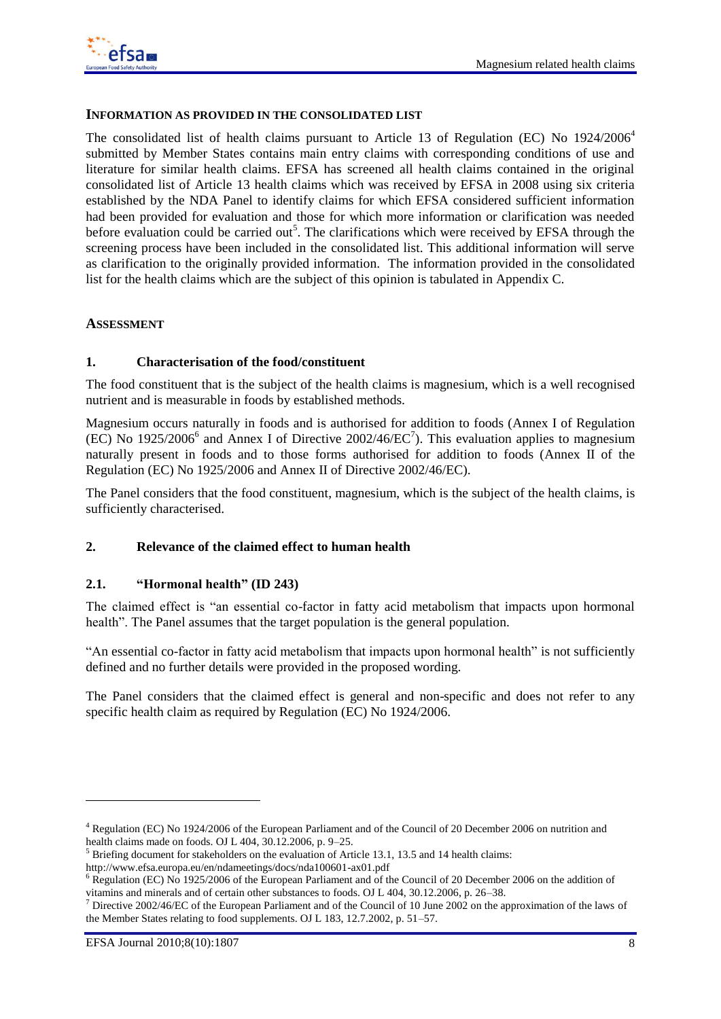#### <span id="page-7-0"></span>**INFORMATION AS PROVIDED IN THE CONSOLIDATED LIST**

The consolidated list of health claims pursuant to Article 13 of Regulation (EC) No 1924/2006<sup>4</sup> submitted by Member States contains main entry claims with corresponding conditions of use and literature for similar health claims. EFSA has screened all health claims contained in the original consolidated list of Article 13 health claims which was received by EFSA in 2008 using six criteria established by the NDA Panel to identify claims for which EFSA considered sufficient information had been provided for evaluation and those for which more information or clarification was needed before evaluation could be carried out<sup>5</sup>. The clarifications which were received by EFSA through the screening process have been included in the consolidated list. This additional information will serve as clarification to the originally provided information. The information provided in the consolidated list for the health claims which are the subject of this opinion is tabulated in Appendix C.

### <span id="page-7-1"></span>**ASSESSMENT**

### <span id="page-7-2"></span>**1. Characterisation of the food/constituent**

The food constituent that is the subject of the health claims is magnesium, which is a well recognised nutrient and is measurable in foods by established methods.

Magnesium occurs naturally in foods and is authorised for addition to foods (Annex I of Regulation  $(EC)$  No 1925/2006<sup>6</sup> and Annex I of Directive 2002/46/ $EC<sup>7</sup>$ ). This evaluation applies to magnesium naturally present in foods and to those forms authorised for addition to foods (Annex II of the Regulation (EC) No 1925/2006 and Annex II of Directive 2002/46/EC).

The Panel considers that the food constituent, magnesium, which is the subject of the health claims, is sufficiently characterised.

# <span id="page-7-3"></span>**2. Relevance of the claimed effect to human health**

#### <span id="page-7-4"></span>**2.1. "Hormonal health" (ID 243)**

The claimed effect is "an essential co-factor in fatty acid metabolism that impacts upon hormonal health". The Panel assumes that the target population is the general population.

"An essential co-factor in fatty acid metabolism that impacts upon hormonal health" is not sufficiently defined and no further details were provided in the proposed wording.

The Panel considers that the claimed effect is general and non-specific and does not refer to any specific health claim as required by Regulation (EC) No 1924/2006.

 $<sup>5</sup>$  Briefing document for stakeholders on the evaluation of Article 13.1, 13.5 and 14 health claims:</sup>

l

<sup>4</sup> Regulation (EC) No 1924/2006 of the European Parliament and of the Council of 20 December 2006 on nutrition and health claims made on foods. OJ L 404, 30.12.2006, p. 9–25.

<http://www.efsa.europa.eu/en/ndameetings/docs/nda100601-ax01.pdf>

<sup>&</sup>lt;sup>6</sup> Regulation (EC) No 1925/2006 of the European Parliament and of the Council of 20 December 2006 on the addition of vitamins and minerals and of certain other substances to foods. OJ L 404, 30.12.2006, p. 26–38.

<sup>&</sup>lt;sup>7</sup> Directive 2002/46/EC of the European Parliament and of the Council of 10 June 2002 on the approximation of the laws of the Member States relating to food supplements. OJ L 183, 12.7.2002, p. 51–57.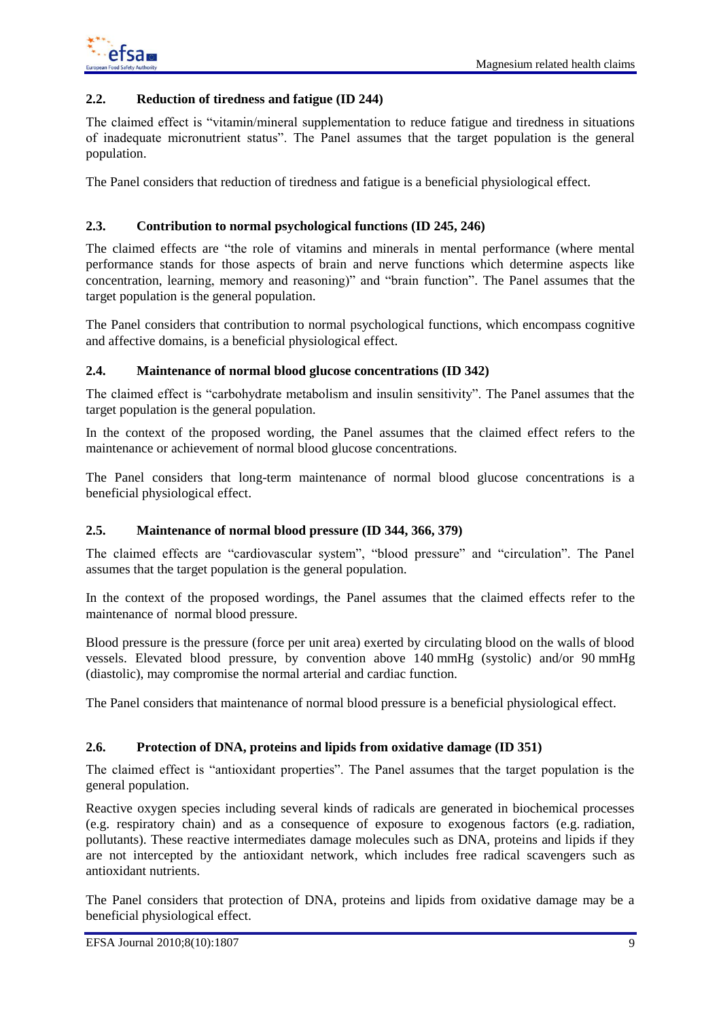

# <span id="page-8-0"></span>**2.2. Reduction of tiredness and fatigue (ID 244)**

The claimed effect is "vitamin/mineral supplementation to reduce fatigue and tiredness in situations of inadequate micronutrient status". The Panel assumes that the target population is the general population.

The Panel considers that reduction of tiredness and fatigue is a beneficial physiological effect.

# <span id="page-8-1"></span>**2.3. Contribution to normal psychological functions (ID 245, 246)**

The claimed effects are "the role of vitamins and minerals in mental performance (where mental performance stands for those aspects of brain and nerve functions which determine aspects like concentration, learning, memory and reasoning)" and "brain function". The Panel assumes that the target population is the general population.

The Panel considers that contribution to normal psychological functions, which encompass cognitive and affective domains, is a beneficial physiological effect.

# <span id="page-8-2"></span>**2.4. Maintenance of normal blood glucose concentrations (ID 342)**

The claimed effect is "carbohydrate metabolism and insulin sensitivity". The Panel assumes that the target population is the general population.

In the context of the proposed wording, the Panel assumes that the claimed effect refers to the maintenance or achievement of normal blood glucose concentrations.

The Panel considers that long-term maintenance of normal blood glucose concentrations is a beneficial physiological effect.

#### <span id="page-8-3"></span>**2.5. Maintenance of normal blood pressure (ID 344, 366, 379)**

The claimed effects are "cardiovascular system", "blood pressure" and "circulation". The Panel assumes that the target population is the general population.

In the context of the proposed wordings, the Panel assumes that the claimed effects refer to the maintenance of normal blood pressure.

Blood pressure is the pressure (force per unit area) exerted by circulating blood on the walls of blood vessels. Elevated blood pressure, by convention above 140 mmHg (systolic) and/or 90 mmHg (diastolic), may compromise the normal arterial and cardiac function.

The Panel considers that maintenance of normal blood pressure is a beneficial physiological effect.

# <span id="page-8-4"></span>**2.6. Protection of DNA, proteins and lipids from oxidative damage (ID 351)**

The claimed effect is "antioxidant properties". The Panel assumes that the target population is the general population.

Reactive oxygen species including several kinds of radicals are generated in biochemical processes (e.g. respiratory chain) and as a consequence of exposure to exogenous factors (e.g. radiation, pollutants). These reactive intermediates damage molecules such as DNA, proteins and lipids if they are not intercepted by the antioxidant network, which includes free radical scavengers such as antioxidant nutrients.

The Panel considers that protection of DNA, proteins and lipids from oxidative damage may be a beneficial physiological effect.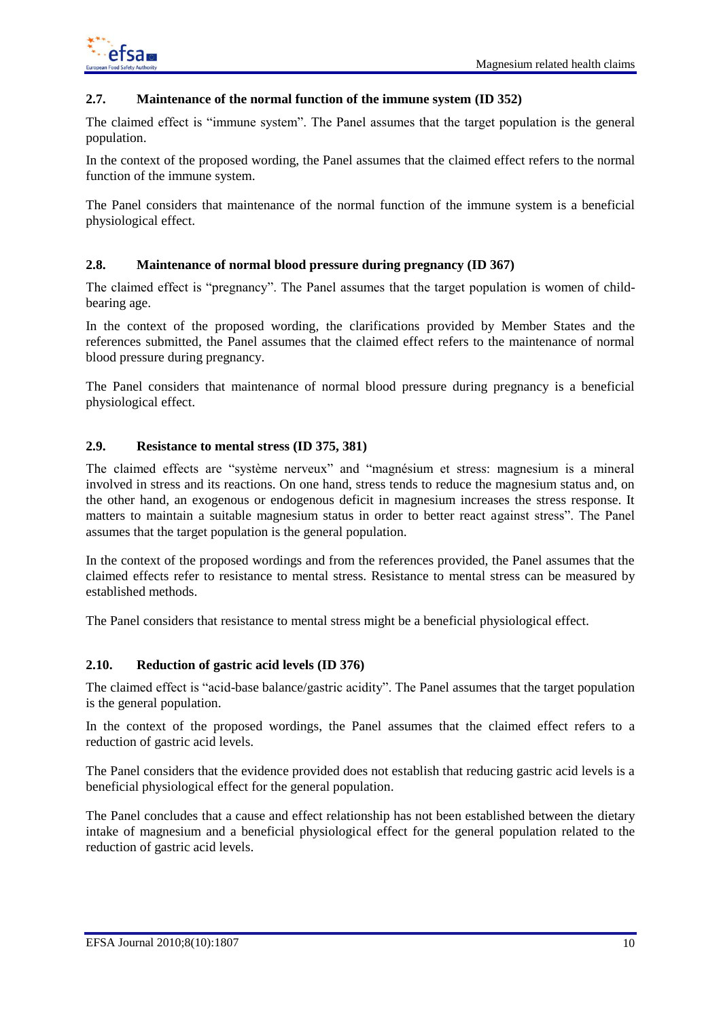

# <span id="page-9-0"></span>**2.7. Maintenance of the normal function of the immune system (ID 352)**

The claimed effect is "immune system". The Panel assumes that the target population is the general population.

In the context of the proposed wording, the Panel assumes that the claimed effect refers to the normal function of the immune system.

The Panel considers that maintenance of the normal function of the immune system is a beneficial physiological effect.

### <span id="page-9-1"></span>**2.8. Maintenance of normal blood pressure during pregnancy (ID 367)**

The claimed effect is "pregnancy". The Panel assumes that the target population is women of childbearing age.

In the context of the proposed wording, the clarifications provided by Member States and the references submitted, the Panel assumes that the claimed effect refers to the maintenance of normal blood pressure during pregnancy.

The Panel considers that maintenance of normal blood pressure during pregnancy is a beneficial physiological effect.

### <span id="page-9-2"></span>**2.9. Resistance to mental stress (ID 375, 381)**

The claimed effects are "système nerveux" and "magnésium et stress: magnesium is a mineral involved in stress and its reactions. On one hand, stress tends to reduce the magnesium status and, on the other hand, an exogenous or endogenous deficit in magnesium increases the stress response. It matters to maintain a suitable magnesium status in order to better react against stress". The Panel assumes that the target population is the general population.

In the context of the proposed wordings and from the references provided, the Panel assumes that the claimed effects refer to resistance to mental stress. Resistance to mental stress can be measured by established methods.

The Panel considers that resistance to mental stress might be a beneficial physiological effect.

#### <span id="page-9-3"></span>**2.10. Reduction of gastric acid levels (ID 376)**

The claimed effect is "acid-base balance/gastric acidity". The Panel assumes that the target population is the general population.

In the context of the proposed wordings, the Panel assumes that the claimed effect refers to a reduction of gastric acid levels.

The Panel considers that the evidence provided does not establish that reducing gastric acid levels is a beneficial physiological effect for the general population.

The Panel concludes that a cause and effect relationship has not been established between the dietary intake of magnesium and a beneficial physiological effect for the general population related to the reduction of gastric acid levels.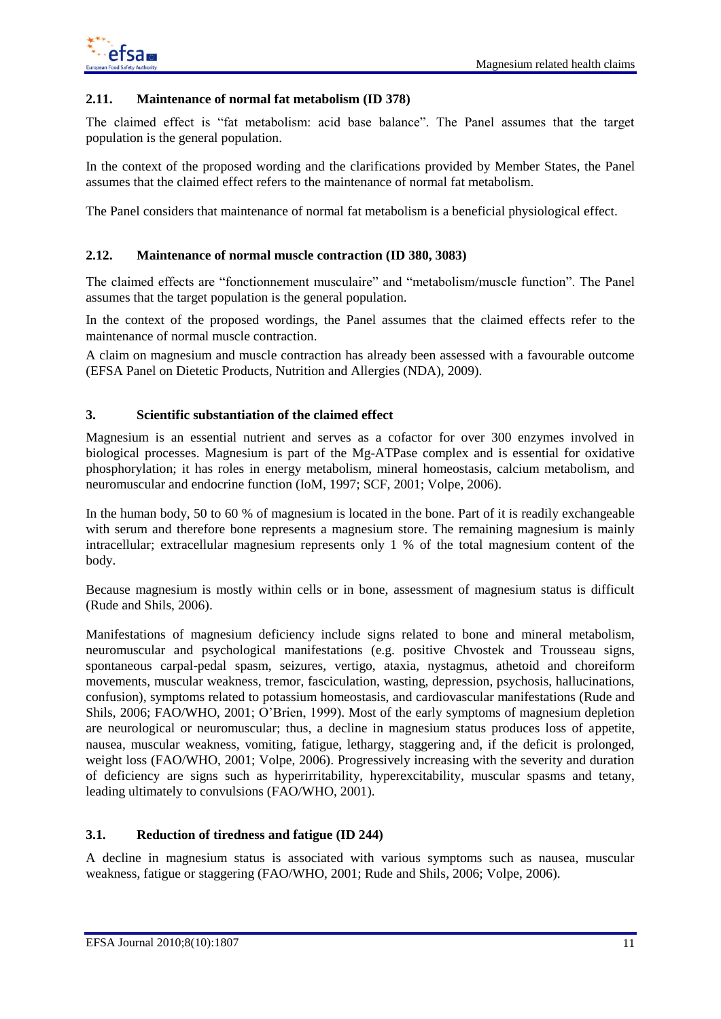

### <span id="page-10-0"></span>**2.11. Maintenance of normal fat metabolism (ID 378)**

The claimed effect is "fat metabolism: acid base balance". The Panel assumes that the target population is the general population.

In the context of the proposed wording and the clarifications provided by Member States, the Panel assumes that the claimed effect refers to the maintenance of normal fat metabolism.

The Panel considers that maintenance of normal fat metabolism is a beneficial physiological effect.

### <span id="page-10-1"></span>**2.12. Maintenance of normal muscle contraction (ID 380, 3083)**

The claimed effects are "fonctionnement musculaire" and "metabolism/muscle function". The Panel assumes that the target population is the general population.

In the context of the proposed wordings, the Panel assumes that the claimed effects refer to the maintenance of normal muscle contraction.

A claim on magnesium and muscle contraction has already been assessed with a favourable outcome (EFSA Panel on Dietetic Products, Nutrition and Allergies (NDA), 2009).

#### <span id="page-10-2"></span>**3. Scientific substantiation of the claimed effect**

Magnesium is an essential nutrient and serves as a cofactor for over 300 enzymes involved in biological processes. Magnesium is part of the Mg-ATPase complex and is essential for oxidative phosphorylation; it has roles in energy metabolism, mineral homeostasis, calcium metabolism, and neuromuscular and endocrine function (IoM, 1997; SCF, 2001; Volpe, 2006).

In the human body, 50 to 60 % of magnesium is located in the bone. Part of it is readily exchangeable with serum and therefore bone represents a magnesium store. The remaining magnesium is mainly intracellular; extracellular magnesium represents only 1 % of the total magnesium content of the body.

Because magnesium is mostly within cells or in bone, assessment of magnesium status is difficult (Rude and Shils, 2006).

Manifestations of magnesium deficiency include signs related to bone and mineral metabolism, neuromuscular and psychological manifestations (e.g. positive Chvostek and Trousseau signs, spontaneous carpal-pedal spasm, seizures, vertigo, ataxia, nystagmus, athetoid and choreiform movements, muscular weakness, tremor, fasciculation, wasting, depression, psychosis, hallucinations, confusion), symptoms related to potassium homeostasis, and cardiovascular manifestations (Rude and Shils, 2006; FAO/WHO, 2001; O'Brien, 1999). Most of the early symptoms of magnesium depletion are neurological or neuromuscular; thus, a decline in magnesium status produces loss of appetite, nausea, muscular weakness, vomiting, fatigue, lethargy, staggering and, if the deficit is prolonged, weight loss (FAO/WHO, 2001; Volpe, 2006). Progressively increasing with the severity and duration of deficiency are signs such as hyperirritability, hyperexcitability, muscular spasms and tetany, leading ultimately to convulsions (FAO/WHO, 2001).

#### <span id="page-10-3"></span>**3.1. Reduction of tiredness and fatigue (ID 244)**

A decline in magnesium status is associated with various symptoms such as nausea, muscular weakness, fatigue or staggering (FAO/WHO, 2001; Rude and Shils, 2006; Volpe, 2006).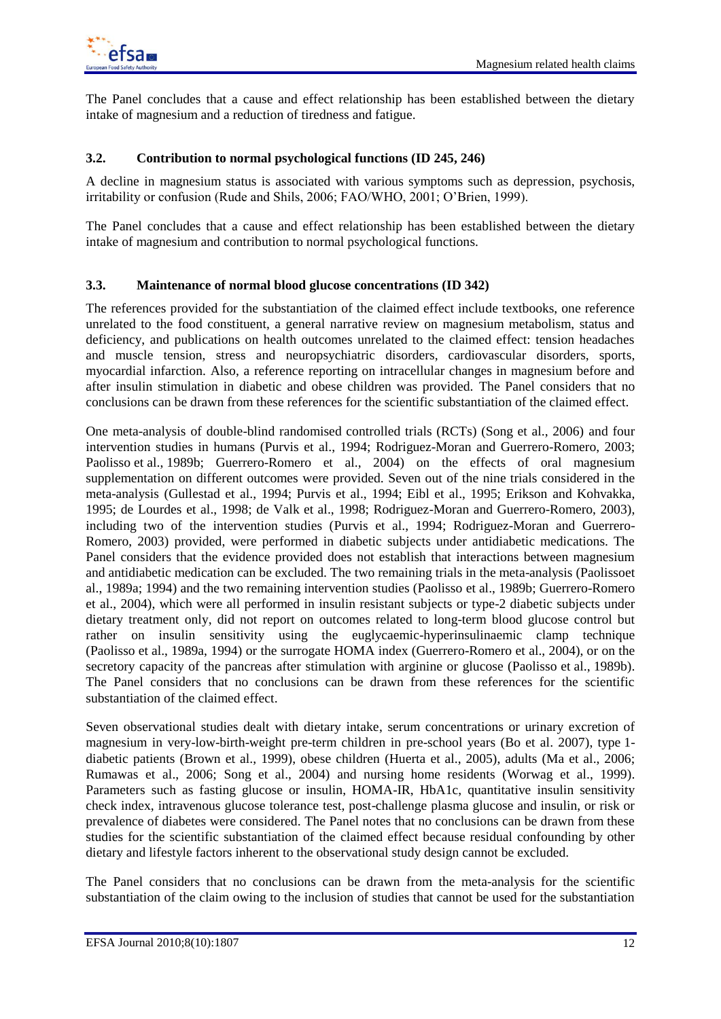The Panel concludes that a cause and effect relationship has been established between the dietary intake of magnesium and a reduction of tiredness and fatigue.

# <span id="page-11-0"></span>**3.2. Contribution to normal psychological functions (ID 245, 246)**

A decline in magnesium status is associated with various symptoms such as depression, psychosis, irritability or confusion (Rude and Shils, 2006; FAO/WHO, 2001; O'Brien, 1999).

The Panel concludes that a cause and effect relationship has been established between the dietary intake of magnesium and contribution to normal psychological functions.

# <span id="page-11-1"></span>**3.3. Maintenance of normal blood glucose concentrations (ID 342)**

The references provided for the substantiation of the claimed effect include textbooks, one reference unrelated to the food constituent, a general narrative review on magnesium metabolism, status and deficiency, and publications on health outcomes unrelated to the claimed effect: tension headaches and muscle tension, stress and neuropsychiatric disorders, cardiovascular disorders, sports, myocardial infarction. Also, a reference reporting on intracellular changes in magnesium before and after insulin stimulation in diabetic and obese children was provided. The Panel considers that no conclusions can be drawn from these references for the scientific substantiation of the claimed effect.

One meta-analysis of double-blind randomised controlled trials (RCTs) (Song et al., 2006) and four intervention studies in humans (Purvis et al., 1994; Rodriguez-Moran and Guerrero-Romero, 2003; Paolisso et al., 1989b; Guerrero-Romero et al., 2004) on the effects of oral magnesium supplementation on different outcomes were provided. Seven out of the nine trials considered in the meta-analysis (Gullestad et al., 1994; Purvis et al., 1994; Eibl et al., 1995; Erikson and Kohvakka, 1995; de Lourdes et al., 1998; de Valk et al., 1998; Rodriguez-Moran and Guerrero-Romero, 2003), including two of the intervention studies (Purvis et al., 1994; Rodriguez-Moran and Guerrero-Romero, 2003) provided, were performed in diabetic subjects under antidiabetic medications. The Panel considers that the evidence provided does not establish that interactions between magnesium and antidiabetic medication can be excluded. The two remaining trials in the meta-analysis (Paolissoet al., 1989a; 1994) and the two remaining intervention studies (Paolisso et al., 1989b; Guerrero-Romero et al., 2004), which were all performed in insulin resistant subjects or type-2 diabetic subjects under dietary treatment only, did not report on outcomes related to long-term blood glucose control but rather on insulin sensitivity using the euglycaemic-hyperinsulinaemic clamp technique (Paolisso et al., 1989a, 1994) or the surrogate HOMA index (Guerrero-Romero et al., 2004), or on the secretory capacity of the pancreas after stimulation with arginine or glucose (Paolisso et al., 1989b). The Panel considers that no conclusions can be drawn from these references for the scientific substantiation of the claimed effect.

Seven observational studies dealt with dietary intake, serum concentrations or urinary excretion of magnesium in very-low-birth-weight pre-term children in pre-school years (Bo et al. 2007), type 1 diabetic patients (Brown et al., 1999), obese children (Huerta et al., 2005), adults (Ma et al., 2006; Rumawas et al., 2006; Song et al., 2004) and nursing home residents (Worwag et al., 1999). Parameters such as fasting glucose or insulin, HOMA-IR, HbA1c, quantitative insulin sensitivity check index, intravenous glucose tolerance test, post-challenge plasma glucose and insulin, or risk or prevalence of diabetes were considered. The Panel notes that no conclusions can be drawn from these studies for the scientific substantiation of the claimed effect because residual confounding by other dietary and lifestyle factors inherent to the observational study design cannot be excluded.

The Panel considers that no conclusions can be drawn from the meta-analysis for the scientific substantiation of the claim owing to the inclusion of studies that cannot be used for the substantiation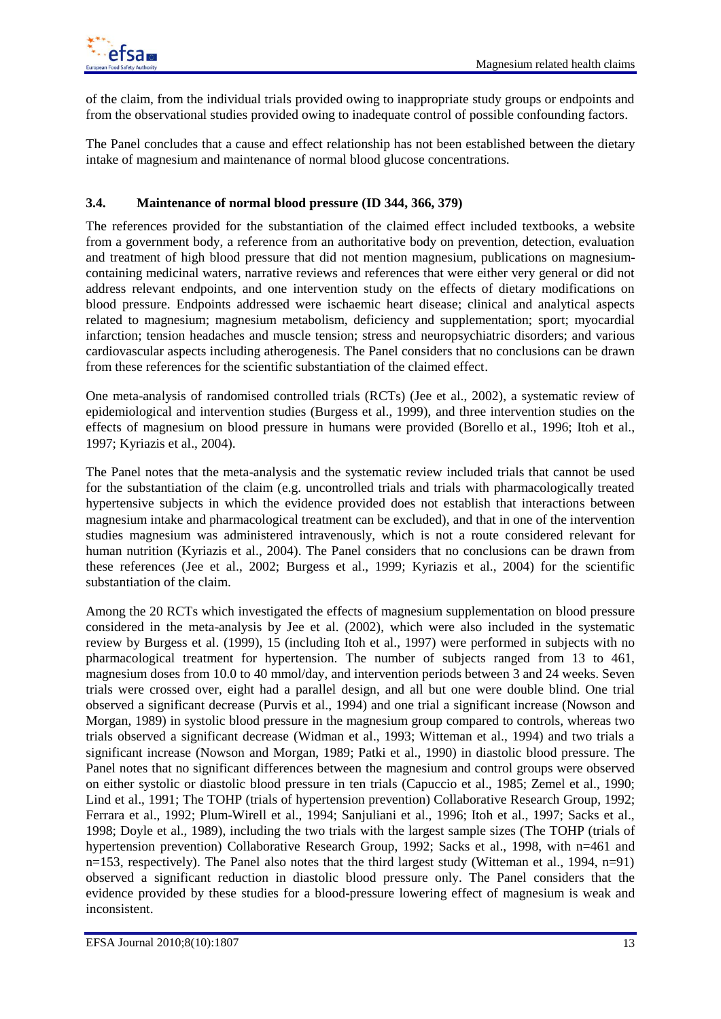of the claim, from the individual trials provided owing to inappropriate study groups or endpoints and from the observational studies provided owing to inadequate control of possible confounding factors.

The Panel concludes that a cause and effect relationship has not been established between the dietary intake of magnesium and maintenance of normal blood glucose concentrations.

# <span id="page-12-0"></span>**3.4. Maintenance of normal blood pressure (ID 344, 366, 379)**

The references provided for the substantiation of the claimed effect included textbooks, a website from a government body, a reference from an authoritative body on prevention, detection, evaluation and treatment of high blood pressure that did not mention magnesium, publications on magnesiumcontaining medicinal waters, narrative reviews and references that were either very general or did not address relevant endpoints, and one intervention study on the effects of dietary modifications on blood pressure. Endpoints addressed were ischaemic heart disease; clinical and analytical aspects related to magnesium; magnesium metabolism, deficiency and supplementation; sport; myocardial infarction; tension headaches and muscle tension; stress and neuropsychiatric disorders; and various cardiovascular aspects including atherogenesis. The Panel considers that no conclusions can be drawn from these references for the scientific substantiation of the claimed effect.

One meta-analysis of randomised controlled trials (RCTs) (Jee et al., 2002), a systematic review of epidemiological and intervention studies (Burgess et al., 1999), and three intervention studies on the effects of magnesium on blood pressure in humans were provided (Borello et al., 1996; Itoh et al., 1997; Kyriazis et al., 2004).

The Panel notes that the meta-analysis and the systematic review included trials that cannot be used for the substantiation of the claim (e.g. uncontrolled trials and trials with pharmacologically treated hypertensive subjects in which the evidence provided does not establish that interactions between magnesium intake and pharmacological treatment can be excluded), and that in one of the intervention studies magnesium was administered intravenously, which is not a route considered relevant for human nutrition (Kyriazis et al., 2004). The Panel considers that no conclusions can be drawn from these references (Jee et al., 2002; Burgess et al., 1999; Kyriazis et al., 2004) for the scientific substantiation of the claim.

Among the 20 RCTs which investigated the effects of magnesium supplementation on blood pressure considered in the meta-analysis by Jee et al. (2002), which were also included in the systematic review by Burgess et al. (1999), 15 (including Itoh et al., 1997) were performed in subjects with no pharmacological treatment for hypertension. The number of subjects ranged from 13 to 461, magnesium doses from 10.0 to 40 mmol/day, and intervention periods between 3 and 24 weeks. Seven trials were crossed over, eight had a parallel design, and all but one were double blind. One trial observed a significant decrease (Purvis et al., 1994) and one trial a significant increase (Nowson and Morgan, 1989) in systolic blood pressure in the magnesium group compared to controls, whereas two trials observed a significant decrease (Widman et al., 1993; Witteman et al., 1994) and two trials a significant increase (Nowson and Morgan, 1989; Patki et al., 1990) in diastolic blood pressure. The Panel notes that no significant differences between the magnesium and control groups were observed on either systolic or diastolic blood pressure in ten trials (Capuccio et al., 1985; Zemel et al., 1990; Lind et al., 1991; The TOHP (trials of hypertension prevention) Collaborative Research Group, 1992; Ferrara et al., 1992; Plum-Wirell et al., 1994; Sanjuliani et al., 1996; Itoh et al., 1997; Sacks et al., 1998; Doyle et al., 1989), including the two trials with the largest sample sizes (The TOHP (trials of hypertension prevention) Collaborative Research Group, 1992; Sacks et al., 1998, with n=461 and n=153, respectively). The Panel also notes that the third largest study (Witteman et al., 1994, n=91) observed a significant reduction in diastolic blood pressure only. The Panel considers that the evidence provided by these studies for a blood-pressure lowering effect of magnesium is weak and inconsistent.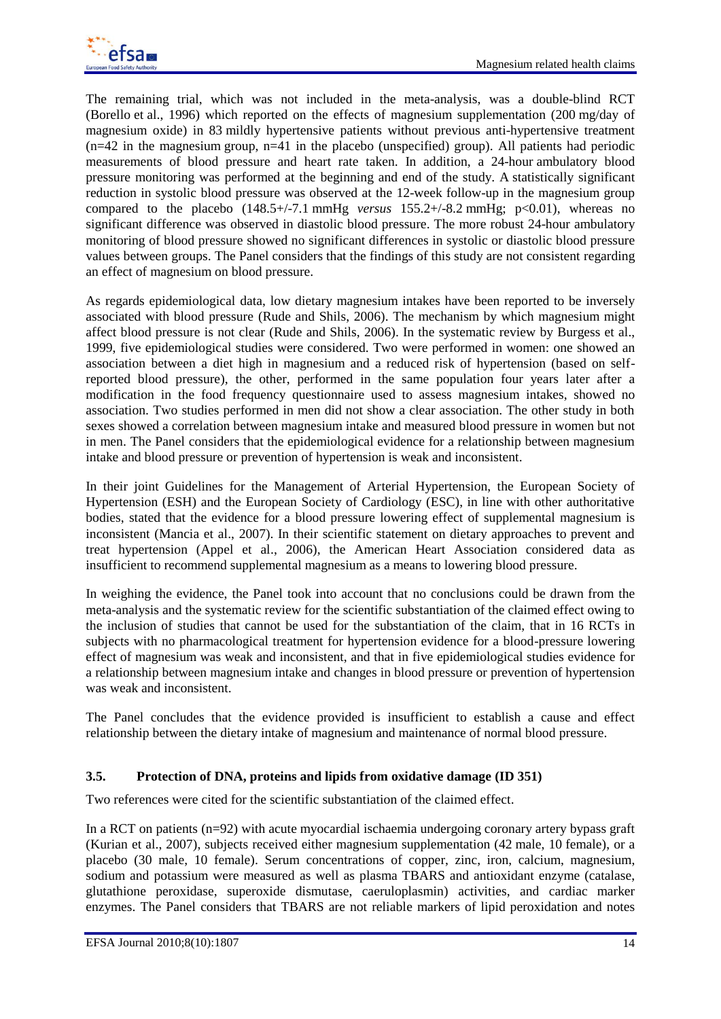

The remaining trial, which was not included in the meta-analysis, was a double-blind RCT (Borello et al., 1996) which reported on the effects of magnesium supplementation (200 mg/day of magnesium oxide) in 83 mildly hypertensive patients without previous anti-hypertensive treatment  $(n=42)$  in the magnesium group, n=41 in the placebo (unspecified) group). All patients had periodic measurements of blood pressure and heart rate taken. In addition, a 24-hour ambulatory blood pressure monitoring was performed at the beginning and end of the study. A statistically significant reduction in systolic blood pressure was observed at the 12-week follow-up in the magnesium group compared to the placebo  $(148.5+/7.1 \text{ mmHg}$  *versus*  $155.2+/8.2 \text{ mmHg}$ ;  $p<0.01$ ), whereas no significant difference was observed in diastolic blood pressure. The more robust 24-hour ambulatory monitoring of blood pressure showed no significant differences in systolic or diastolic blood pressure values between groups. The Panel considers that the findings of this study are not consistent regarding an effect of magnesium on blood pressure.

As regards epidemiological data, low dietary magnesium intakes have been reported to be inversely associated with blood pressure (Rude and Shils, 2006). The mechanism by which magnesium might affect blood pressure is not clear (Rude and Shils, 2006). In the systematic review by Burgess et al., 1999, five epidemiological studies were considered. Two were performed in women: one showed an association between a diet high in magnesium and a reduced risk of hypertension (based on selfreported blood pressure), the other, performed in the same population four years later after a modification in the food frequency questionnaire used to assess magnesium intakes, showed no association. Two studies performed in men did not show a clear association. The other study in both sexes showed a correlation between magnesium intake and measured blood pressure in women but not in men. The Panel considers that the epidemiological evidence for a relationship between magnesium intake and blood pressure or prevention of hypertension is weak and inconsistent.

In their joint Guidelines for the Management of Arterial Hypertension, the European Society of Hypertension (ESH) and the European Society of Cardiology (ESC), in line with other authoritative bodies, stated that the evidence for a blood pressure lowering effect of supplemental magnesium is inconsistent (Mancia et al., 2007). In their scientific statement on dietary approaches to prevent and treat hypertension (Appel et al., 2006), the American Heart Association considered data as insufficient to recommend supplemental magnesium as a means to lowering blood pressure.

In weighing the evidence, the Panel took into account that no conclusions could be drawn from the meta-analysis and the systematic review for the scientific substantiation of the claimed effect owing to the inclusion of studies that cannot be used for the substantiation of the claim, that in 16 RCTs in subjects with no pharmacological treatment for hypertension evidence for a blood-pressure lowering effect of magnesium was weak and inconsistent, and that in five epidemiological studies evidence for a relationship between magnesium intake and changes in blood pressure or prevention of hypertension was weak and inconsistent.

The Panel concludes that the evidence provided is insufficient to establish a cause and effect relationship between the dietary intake of magnesium and maintenance of normal blood pressure.

# <span id="page-13-0"></span>**3.5. Protection of DNA, proteins and lipids from oxidative damage (ID 351)**

Two references were cited for the scientific substantiation of the claimed effect.

In a RCT on patients (n=92) with acute myocardial ischaemia undergoing coronary artery bypass graft (Kurian et al., 2007), subjects received either magnesium supplementation (42 male, 10 female), or a placebo (30 male, 10 female). Serum concentrations of copper, zinc, iron, calcium, magnesium, sodium and potassium were measured as well as plasma TBARS and antioxidant enzyme (catalase, glutathione peroxidase, superoxide dismutase, caeruloplasmin) activities, and cardiac marker enzymes. The Panel considers that TBARS are not reliable markers of lipid peroxidation and notes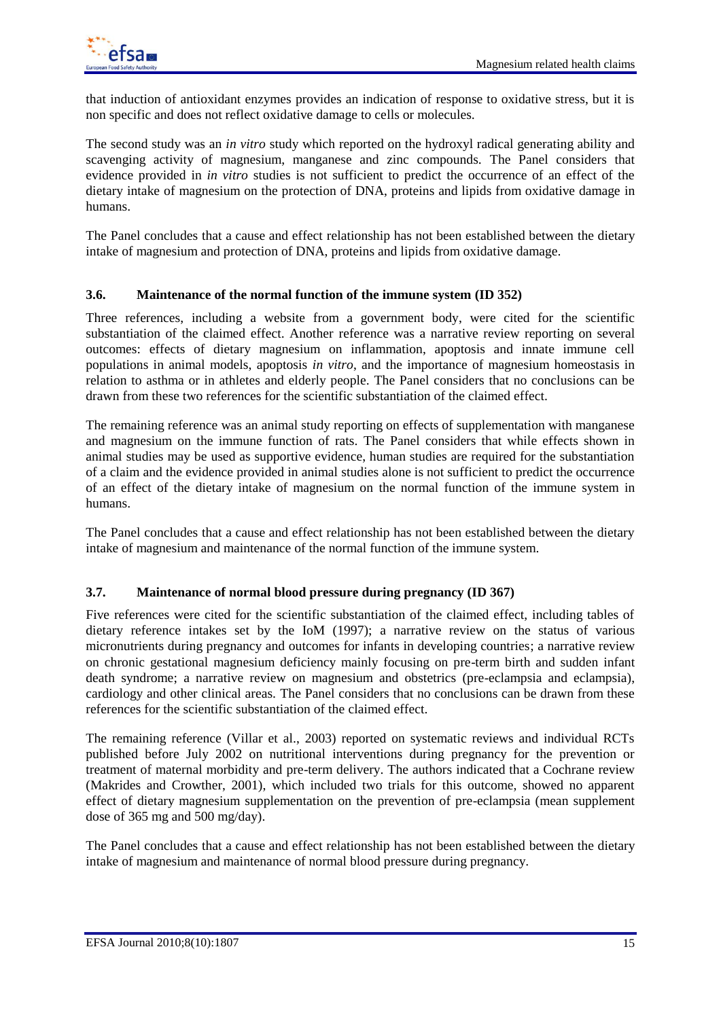

that induction of antioxidant enzymes provides an indication of response to oxidative stress, but it is non specific and does not reflect oxidative damage to cells or molecules.

The second study was an *in vitro* study which reported on the hydroxyl radical generating ability and scavenging activity of magnesium, manganese and zinc compounds. The Panel considers that evidence provided in *in vitro* studies is not sufficient to predict the occurrence of an effect of the dietary intake of magnesium on the protection of DNA, proteins and lipids from oxidative damage in humans.

The Panel concludes that a cause and effect relationship has not been established between the dietary intake of magnesium and protection of DNA, proteins and lipids from oxidative damage.

### <span id="page-14-0"></span>**3.6. Maintenance of the normal function of the immune system (ID 352)**

Three references, including a website from a government body, were cited for the scientific substantiation of the claimed effect. Another reference was a narrative review reporting on several outcomes: effects of dietary magnesium on inflammation, apoptosis and innate immune cell populations in animal models, apoptosis *in vitro*, and the importance of magnesium homeostasis in relation to asthma or in athletes and elderly people. The Panel considers that no conclusions can be drawn from these two references for the scientific substantiation of the claimed effect.

The remaining reference was an animal study reporting on effects of supplementation with manganese and magnesium on the immune function of rats. The Panel considers that while effects shown in animal studies may be used as supportive evidence, human studies are required for the substantiation of a claim and the evidence provided in animal studies alone is not sufficient to predict the occurrence of an effect of the dietary intake of magnesium on the normal function of the immune system in humans.

The Panel concludes that a cause and effect relationship has not been established between the dietary intake of magnesium and maintenance of the normal function of the immune system.

#### <span id="page-14-1"></span>**3.7. Maintenance of normal blood pressure during pregnancy (ID 367)**

Five references were cited for the scientific substantiation of the claimed effect, including tables of dietary reference intakes set by the IoM (1997); a narrative review on the status of various micronutrients during pregnancy and outcomes for infants in developing countries; a narrative review on chronic gestational magnesium deficiency mainly focusing on pre-term birth and sudden infant death syndrome; a narrative review on magnesium and obstetrics (pre-eclampsia and eclampsia), cardiology and other clinical areas. The Panel considers that no conclusions can be drawn from these references for the scientific substantiation of the claimed effect.

The remaining reference (Villar et al., 2003) reported on systematic reviews and individual RCTs published before July 2002 on nutritional interventions during pregnancy for the prevention or treatment of maternal morbidity and pre-term delivery. The authors indicated that a Cochrane review (Makrides and Crowther, 2001), which included two trials for this outcome, showed no apparent effect of dietary magnesium supplementation on the prevention of pre-eclampsia (mean supplement dose of 365 mg and 500 mg/day).

The Panel concludes that a cause and effect relationship has not been established between the dietary intake of magnesium and maintenance of normal blood pressure during pregnancy*.*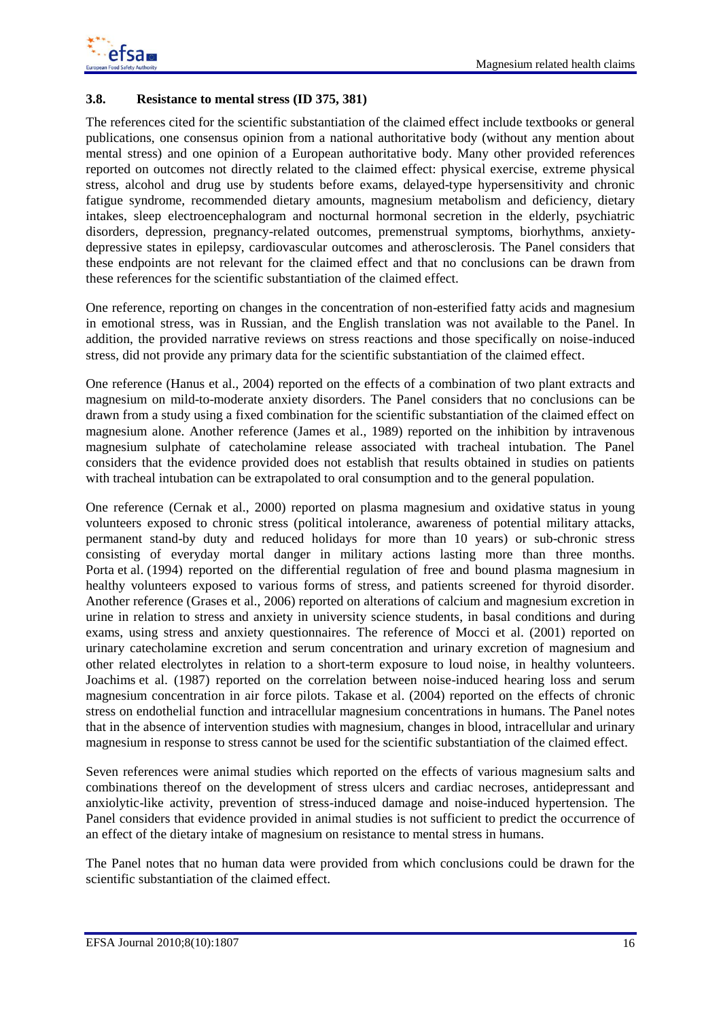## <span id="page-15-0"></span>**3.8. Resistance to mental stress (ID 375, 381)**

The references cited for the scientific substantiation of the claimed effect include textbooks or general publications, one consensus opinion from a national authoritative body (without any mention about mental stress) and one opinion of a European authoritative body. Many other provided references reported on outcomes not directly related to the claimed effect: physical exercise, extreme physical stress, alcohol and drug use by students before exams, delayed-type hypersensitivity and chronic fatigue syndrome, recommended dietary amounts, magnesium metabolism and deficiency, dietary intakes, sleep electroencephalogram and nocturnal hormonal secretion in the elderly, psychiatric disorders, depression, pregnancy-related outcomes, premenstrual symptoms, biorhythms, anxietydepressive states in epilepsy, cardiovascular outcomes and atherosclerosis. The Panel considers that these endpoints are not relevant for the claimed effect and that no conclusions can be drawn from these references for the scientific substantiation of the claimed effect.

One reference, reporting on changes in the concentration of non-esterified fatty acids and magnesium in emotional stress, was in Russian, and the English translation was not available to the Panel. In addition, the provided narrative reviews on stress reactions and those specifically on noise-induced stress, did not provide any primary data for the scientific substantiation of the claimed effect.

One reference (Hanus et al., 2004) reported on the effects of a combination of two plant extracts and magnesium on mild-to-moderate anxiety disorders. The Panel considers that no conclusions can be drawn from a study using a fixed combination for the scientific substantiation of the claimed effect on magnesium alone. Another reference (James et al., 1989) reported on the inhibition by intravenous magnesium sulphate of catecholamine release associated with tracheal intubation. The Panel considers that the evidence provided does not establish that results obtained in studies on patients with tracheal intubation can be extrapolated to oral consumption and to the general population.

One reference (Cernak et al., 2000) reported on plasma magnesium and oxidative status in young volunteers exposed to chronic stress (political intolerance, awareness of potential military attacks, permanent stand-by duty and reduced holidays for more than 10 years) or sub-chronic stress consisting of everyday mortal danger in military actions lasting more than three months. Porta et al. (1994) reported on the differential regulation of free and bound plasma magnesium in healthy volunteers exposed to various forms of stress, and patients screened for thyroid disorder. Another reference (Grases et al., 2006) reported on alterations of calcium and magnesium excretion in urine in relation to stress and anxiety in university science students, in basal conditions and during exams, using stress and anxiety questionnaires. The reference of Mocci et al. (2001) reported on urinary catecholamine excretion and serum concentration and urinary excretion of magnesium and other related electrolytes in relation to a short-term exposure to loud noise, in healthy volunteers. Joachims et al. (1987) reported on the correlation between noise-induced hearing loss and serum magnesium concentration in air force pilots. Takase et al. (2004) reported on the effects of chronic stress on endothelial function and intracellular magnesium concentrations in humans. The Panel notes that in the absence of intervention studies with magnesium, changes in blood, intracellular and urinary magnesium in response to stress cannot be used for the scientific substantiation of the claimed effect.

Seven references were animal studies which reported on the effects of various magnesium salts and combinations thereof on the development of stress ulcers and cardiac necroses, antidepressant and anxiolytic-like activity, prevention of stress-induced damage and noise-induced hypertension. The Panel considers that evidence provided in animal studies is not sufficient to predict the occurrence of an effect of the dietary intake of magnesium on resistance to mental stress in humans.

The Panel notes that no human data were provided from which conclusions could be drawn for the scientific substantiation of the claimed effect.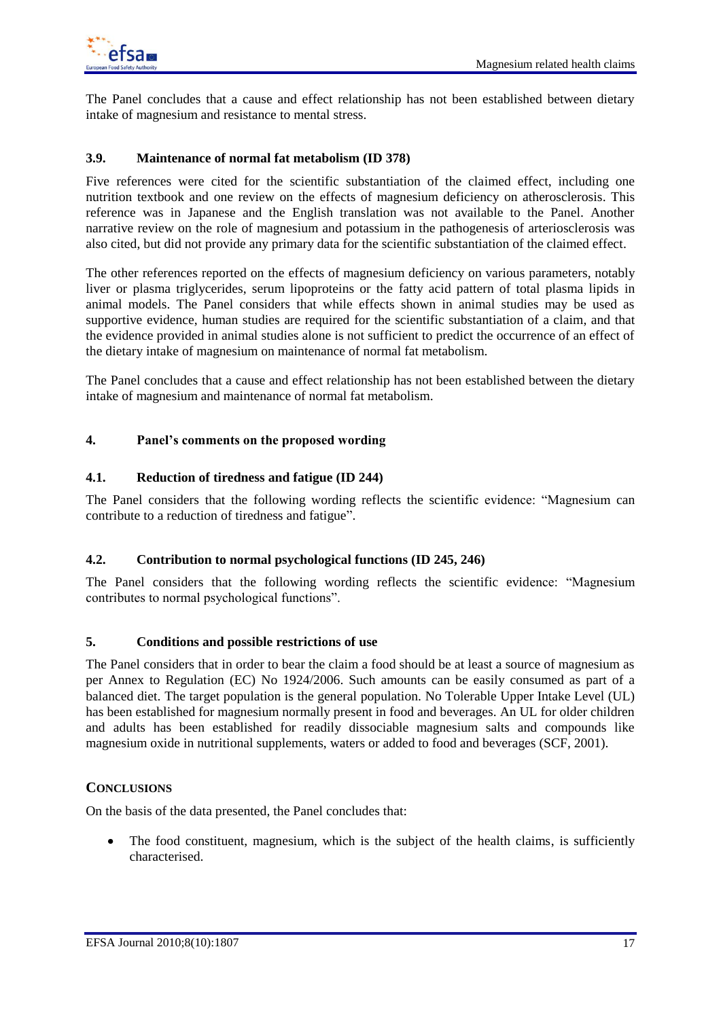The Panel concludes that a cause and effect relationship has not been established between dietary intake of magnesium and resistance to mental stress.

# <span id="page-16-0"></span>**3.9. Maintenance of normal fat metabolism (ID 378)**

Five references were cited for the scientific substantiation of the claimed effect, including one nutrition textbook and one review on the effects of magnesium deficiency on atherosclerosis. This reference was in Japanese and the English translation was not available to the Panel. Another narrative review on the role of magnesium and potassium in the pathogenesis of arteriosclerosis was also cited, but did not provide any primary data for the scientific substantiation of the claimed effect.

The other references reported on the effects of magnesium deficiency on various parameters, notably liver or plasma triglycerides, serum lipoproteins or the fatty acid pattern of total plasma lipids in animal models. The Panel considers that while effects shown in animal studies may be used as supportive evidence, human studies are required for the scientific substantiation of a claim, and that the evidence provided in animal studies alone is not sufficient to predict the occurrence of an effect of the dietary intake of magnesium on maintenance of normal fat metabolism.

The Panel concludes that a cause and effect relationship has not been established between the dietary intake of magnesium and maintenance of normal fat metabolism.

# <span id="page-16-1"></span>**4. Panel's comments on the proposed wording**

# <span id="page-16-2"></span>**4.1. Reduction of tiredness and fatigue (ID 244)**

The Panel considers that the following wording reflects the scientific evidence: "Magnesium can contribute to a reduction of tiredness and fatigue".

# <span id="page-16-3"></span>**4.2. Contribution to normal psychological functions (ID 245, 246)**

The Panel considers that the following wording reflects the scientific evidence: "Magnesium contributes to normal psychological functions".

# <span id="page-16-4"></span>**5. Conditions and possible restrictions of use**

The Panel considers that in order to bear the claim a food should be at least a source of magnesium as per Annex to Regulation (EC) No 1924/2006. Such amounts can be easily consumed as part of a balanced diet. The target population is the general population. No Tolerable Upper Intake Level (UL) has been established for magnesium normally present in food and beverages. An UL for older children and adults has been established for readily dissociable magnesium salts and compounds like magnesium oxide in nutritional supplements, waters or added to food and beverages (SCF, 2001).

# <span id="page-16-5"></span>**CONCLUSIONS**

On the basis of the data presented, the Panel concludes that:

 $\bullet$ The food constituent, magnesium, which is the subject of the health claims, is sufficiently characterised.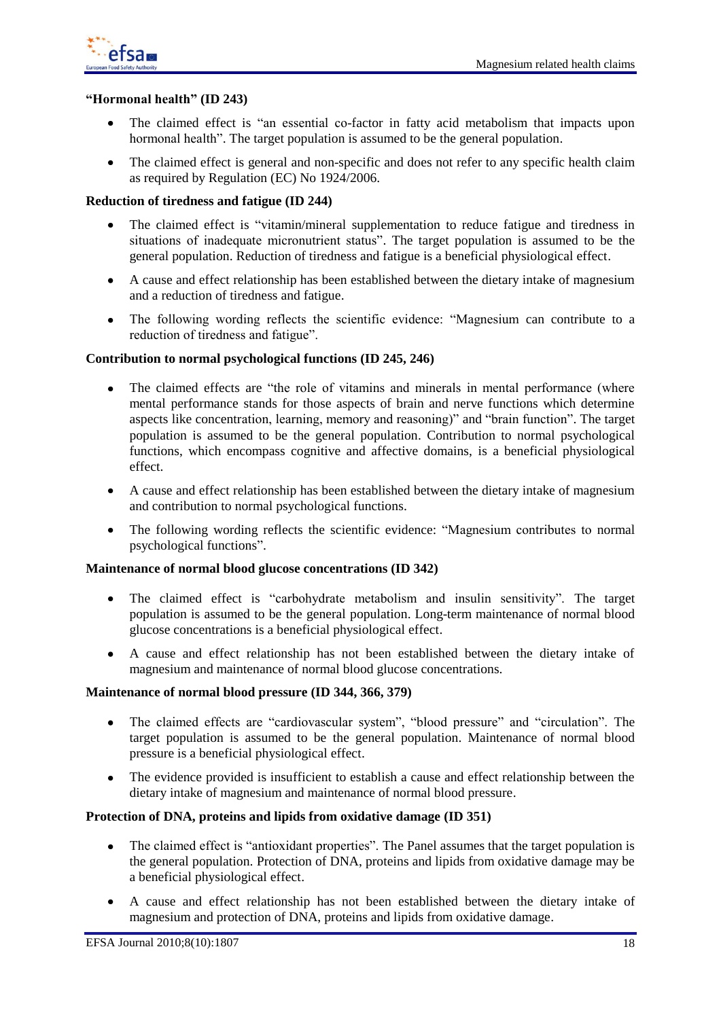

#### **"Hormonal health" (ID 243)**

- The claimed effect is "an essential co-factor in fatty acid metabolism that impacts upon hormonal health". The target population is assumed to be the general population.
- The claimed effect is general and non-specific and does not refer to any specific health claim as required by Regulation (EC) No 1924/2006.

### **Reduction of tiredness and fatigue (ID 244)**

- The claimed effect is "vitamin/mineral supplementation to reduce fatigue and tiredness in  $\bullet$ situations of inadequate micronutrient status". The target population is assumed to be the general population. Reduction of tiredness and fatigue is a beneficial physiological effect.
- A cause and effect relationship has been established between the dietary intake of magnesium and a reduction of tiredness and fatigue.
- The following wording reflects the scientific evidence: "Magnesium can contribute to a reduction of tiredness and fatigue".

### **Contribution to normal psychological functions (ID 245, 246)**

- The claimed effects are "the role of vitamins and minerals in mental performance (where  $\bullet$ mental performance stands for those aspects of brain and nerve functions which determine aspects like concentration, learning, memory and reasoning)" and "brain function". The target population is assumed to be the general population. Contribution to normal psychological functions, which encompass cognitive and affective domains, is a beneficial physiological effect.
- A cause and effect relationship has been established between the dietary intake of magnesium and contribution to normal psychological functions.
- The following wording reflects the scientific evidence: "Magnesium contributes to normal psychological functions".

#### **Maintenance of normal blood glucose concentrations (ID 342)**

- The claimed effect is "carbohydrate metabolism and insulin sensitivity". The target population is assumed to be the general population. Long-term maintenance of normal blood glucose concentrations is a beneficial physiological effect.
- A cause and effect relationship has not been established between the dietary intake of magnesium and maintenance of normal blood glucose concentrations.

#### **Maintenance of normal blood pressure (ID 344, 366, 379)**

- The claimed effects are "cardiovascular system", "blood pressure" and "circulation". The target population is assumed to be the general population. Maintenance of normal blood pressure is a beneficial physiological effect.
- The evidence provided is insufficient to establish a cause and effect relationship between the dietary intake of magnesium and maintenance of normal blood pressure.

#### **Protection of DNA, proteins and lipids from oxidative damage (ID 351)**

- The claimed effect is "antioxidant properties". The Panel assumes that the target population is the general population. Protection of DNA, proteins and lipids from oxidative damage may be a beneficial physiological effect.
- A cause and effect relationship has not been established between the dietary intake of magnesium and protection of DNA, proteins and lipids from oxidative damage.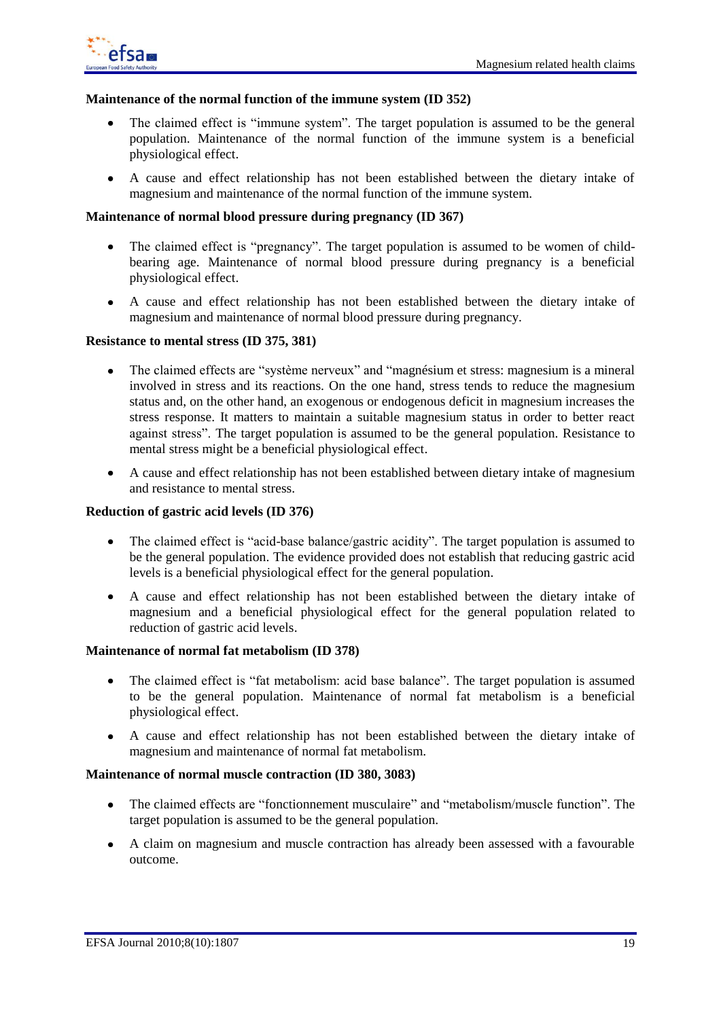

### **Maintenance of the normal function of the immune system (ID 352)**

- The claimed effect is "immune system". The target population is assumed to be the general population. Maintenance of the normal function of the immune system is a beneficial physiological effect.
- A cause and effect relationship has not been established between the dietary intake of magnesium and maintenance of the normal function of the immune system.

#### **Maintenance of normal blood pressure during pregnancy (ID 367)**

- The claimed effect is "pregnancy". The target population is assumed to be women of childbearing age. Maintenance of normal blood pressure during pregnancy is a beneficial physiological effect.
- A cause and effect relationship has not been established between the dietary intake of magnesium and maintenance of normal blood pressure during pregnancy.

#### **Resistance to mental stress (ID 375, 381)**

- The claimed effects are "système nerveux" and "magnésium et stress: magnesium is a mineral involved in stress and its reactions. On the one hand, stress tends to reduce the magnesium status and, on the other hand, an exogenous or endogenous deficit in magnesium increases the stress response. It matters to maintain a suitable magnesium status in order to better react against stress". The target population is assumed to be the general population. Resistance to mental stress might be a beneficial physiological effect.
- A cause and effect relationship has not been established between dietary intake of magnesium and resistance to mental stress.

#### **Reduction of gastric acid levels (ID 376)**

- The claimed effect is "acid-base balance/gastric acidity". The target population is assumed to  $\bullet$ be the general population. The evidence provided does not establish that reducing gastric acid levels is a beneficial physiological effect for the general population.
- A cause and effect relationship has not been established between the dietary intake of magnesium and a beneficial physiological effect for the general population related to reduction of gastric acid levels.

#### **Maintenance of normal fat metabolism (ID 378)**

- The claimed effect is "fat metabolism: acid base balance". The target population is assumed to be the general population. Maintenance of normal fat metabolism is a beneficial physiological effect.
- A cause and effect relationship has not been established between the dietary intake of magnesium and maintenance of normal fat metabolism.

#### **Maintenance of normal muscle contraction (ID 380, 3083)**

- The claimed effects are "fonctionnement musculaire" and "metabolism/muscle function". The target population is assumed to be the general population.
- A claim on magnesium and muscle contraction has already been assessed with a favourable outcome.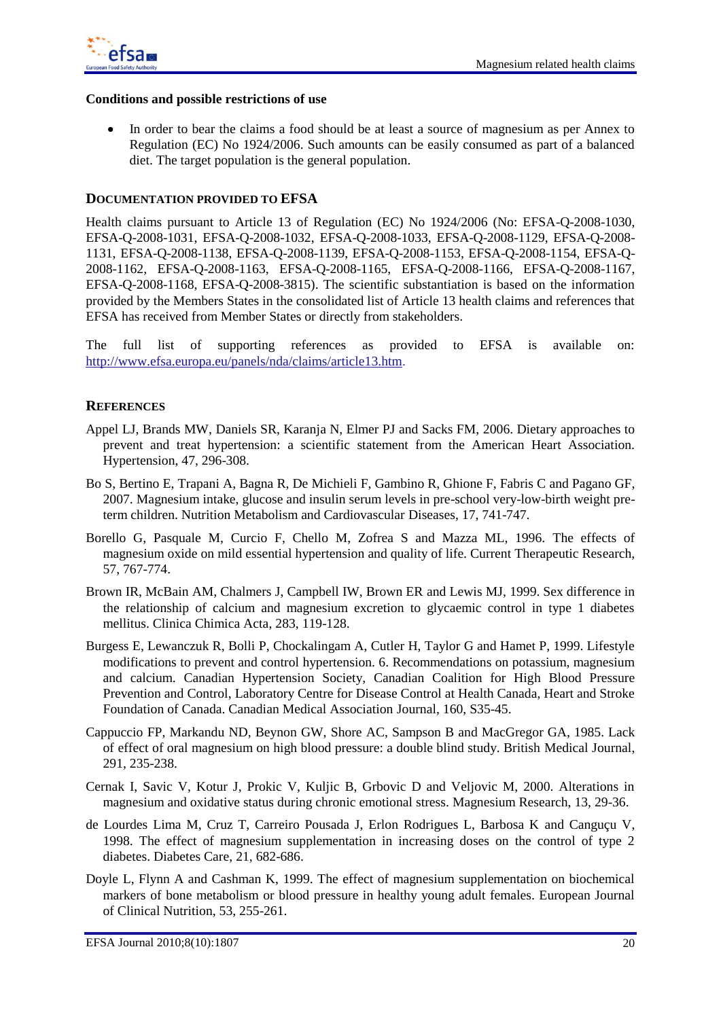



#### **Conditions and possible restrictions of use**

In order to bear the claims a food should be at least a source of magnesium as per Annex to  $\bullet$ Regulation (EC) No 1924/2006. Such amounts can be easily consumed as part of a balanced diet. The target population is the general population.

### <span id="page-19-0"></span>**DOCUMENTATION PROVIDED TO EFSA**

Health claims pursuant to Article 13 of Regulation (EC) No 1924/2006 (No: EFSA-Q-2008-1030, EFSA-Q-2008-1031, EFSA-Q-2008-1032, EFSA-Q-2008-1033, EFSA-Q-2008-1129, EFSA-Q-2008- 1131, EFSA-Q-2008-1138, EFSA-Q-2008-1139, EFSA-Q-2008-1153, EFSA-Q-2008-1154, EFSA-Q-2008-1162, EFSA-Q-2008-1163, EFSA-Q-2008-1165, EFSA-Q-2008-1166, EFSA-Q-2008-1167, EFSA-Q-2008-1168, EFSA-Q-2008-3815). The scientific substantiation is based on the information provided by the Members States in the consolidated list of Article 13 health claims and references that EFSA has received from Member States or directly from stakeholders.

The full list of supporting references as provided to EFSA is available on: [http://www.efsa.europa.eu/panels/nda/claims/article13.htm.](http://www.efsa.europa.eu/panels/nda/claims/article13.htm)

### <span id="page-19-1"></span>**REFERENCES**

- Appel LJ, Brands MW, Daniels SR, Karanja N, Elmer PJ and Sacks FM, 2006. Dietary approaches to prevent and treat hypertension: a scientific statement from the American Heart Association. Hypertension, 47, 296-308.
- Bo S, Bertino E, Trapani A, Bagna R, De Michieli F, Gambino R, Ghione F, Fabris C and Pagano GF, 2007. Magnesium intake, glucose and insulin serum levels in pre-school very-low-birth weight preterm children. Nutrition Metabolism and Cardiovascular Diseases, 17, 741-747.
- Borello G, Pasquale M, Curcio F, Chello M, Zofrea S and Mazza ML, 1996. The effects of magnesium oxide on mild essential hypertension and quality of life. Current Therapeutic Research, 57, 767-774.
- Brown IR, McBain AM, Chalmers J, Campbell IW, Brown ER and Lewis MJ, 1999. Sex difference in the relationship of calcium and magnesium excretion to glycaemic control in type 1 diabetes mellitus. Clinica Chimica Acta, 283, 119-128.
- Burgess E, Lewanczuk R, Bolli P, Chockalingam A, Cutler H, Taylor G and Hamet P, 1999. Lifestyle modifications to prevent and control hypertension. 6. Recommendations on potassium, magnesium and calcium. Canadian Hypertension Society, Canadian Coalition for High Blood Pressure Prevention and Control, Laboratory Centre for Disease Control at Health Canada, Heart and Stroke Foundation of Canada. Canadian Medical Association Journal, 160, S35-45.
- Cappuccio FP, Markandu ND, Beynon GW, Shore AC, Sampson B and MacGregor GA, 1985. Lack of effect of oral magnesium on high blood pressure: a double blind study. British Medical Journal, 291, 235-238.
- Cernak I, Savic V, Kotur J, Prokic V, Kuljic B, Grbovic D and Veljovic M, 2000. Alterations in magnesium and oxidative status during chronic emotional stress. Magnesium Research, 13, 29-36.
- de Lourdes Lima M, Cruz T, Carreiro Pousada J, Erlon Rodrigues L, Barbosa K and Canguçu V, 1998. The effect of magnesium supplementation in increasing doses on the control of type 2 diabetes. Diabetes Care, 21, 682-686.
- Doyle L, Flynn A and Cashman K, 1999. The effect of magnesium supplementation on biochemical markers of bone metabolism or blood pressure in healthy young adult females. European Journal of Clinical Nutrition, 53, 255-261.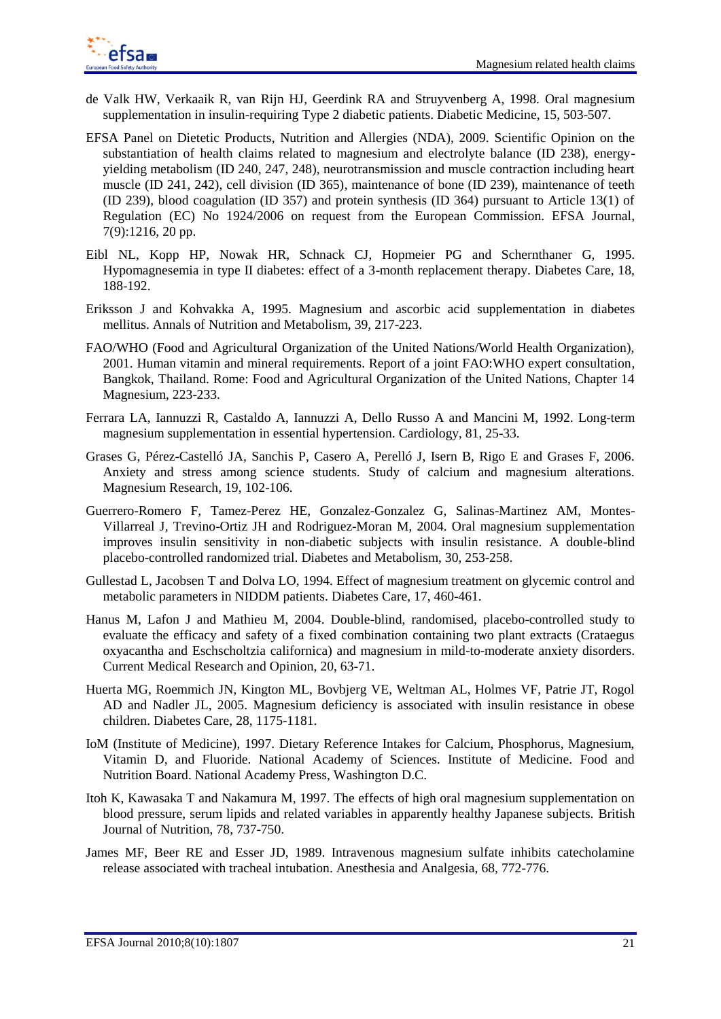

- de Valk HW, Verkaaik R, van Rijn HJ, Geerdink RA and Struyvenberg A, 1998. Oral magnesium supplementation in insulin-requiring Type 2 diabetic patients. Diabetic Medicine, 15, 503-507.
- EFSA Panel on Dietetic Products, Nutrition and Allergies (NDA), 2009. Scientific Opinion on the substantiation of health claims related to magnesium and electrolyte balance (ID 238), energyyielding metabolism (ID 240, 247, 248), neurotransmission and muscle contraction including heart muscle (ID 241, 242), cell division (ID 365), maintenance of bone (ID 239), maintenance of teeth (ID 239), blood coagulation (ID 357) and protein synthesis (ID 364) pursuant to Article 13(1) of Regulation (EC) No 1924/2006 on request from the European Commission. EFSA Journal, 7(9):1216, 20 pp.
- Eibl NL, Kopp HP, Nowak HR, Schnack CJ, Hopmeier PG and Schernthaner G, 1995. Hypomagnesemia in type II diabetes: effect of a 3-month replacement therapy. Diabetes Care, 18, 188-192.
- Eriksson J and Kohvakka A, 1995. Magnesium and ascorbic acid supplementation in diabetes mellitus. Annals of Nutrition and Metabolism, 39, 217-223.
- FAO/WHO (Food and Agricultural Organization of the United Nations/World Health Organization), 2001. Human vitamin and mineral requirements. Report of a joint FAO:WHO expert consultation, Bangkok, Thailand. Rome: Food and Agricultural Organization of the United Nations, Chapter 14 Magnesium, 223-233.
- Ferrara LA, Iannuzzi R, Castaldo A, Iannuzzi A, Dello Russo A and Mancini M, 1992. Long-term magnesium supplementation in essential hypertension. Cardiology, 81, 25-33.
- Grases G, Pérez-Castelló JA, Sanchis P, Casero A, Perelló J, Isern B, Rigo E and Grases F, 2006. Anxiety and stress among science students. Study of calcium and magnesium alterations. Magnesium Research, 19, 102-106.
- Guerrero-Romero F, Tamez-Perez HE, Gonzalez-Gonzalez G, Salinas-Martinez AM, Montes-Villarreal J, Trevino-Ortiz JH and Rodriguez-Moran M, 2004. Oral magnesium supplementation improves insulin sensitivity in non-diabetic subjects with insulin resistance. A double-blind placebo-controlled randomized trial. Diabetes and Metabolism, 30, 253-258.
- Gullestad L, Jacobsen T and Dolva LO, 1994. Effect of magnesium treatment on glycemic control and metabolic parameters in NIDDM patients. Diabetes Care, 17, 460-461.
- Hanus M, Lafon J and Mathieu M, 2004. Double-blind, randomised, placebo-controlled study to evaluate the efficacy and safety of a fixed combination containing two plant extracts (Crataegus oxyacantha and Eschscholtzia californica) and magnesium in mild-to-moderate anxiety disorders. Current Medical Research and Opinion, 20, 63-71.
- Huerta MG, Roemmich JN, Kington ML, Bovbjerg VE, Weltman AL, Holmes VF, Patrie JT, Rogol AD and Nadler JL, 2005. Magnesium deficiency is associated with insulin resistance in obese children. Diabetes Care, 28, 1175-1181.
- IoM (Institute of Medicine), 1997. Dietary Reference Intakes for Calcium, Phosphorus, Magnesium, Vitamin D, and Fluoride. National Academy of Sciences. Institute of Medicine. Food and Nutrition Board. National Academy Press, Washington D.C.
- Itoh K, Kawasaka T and Nakamura M, 1997. The effects of high oral magnesium supplementation on blood pressure, serum lipids and related variables in apparently healthy Japanese subjects. British Journal of Nutrition, 78, 737-750.
- James MF, Beer RE and Esser JD, 1989. Intravenous magnesium sulfate inhibits catecholamine release associated with tracheal intubation. Anesthesia and Analgesia, 68, 772-776.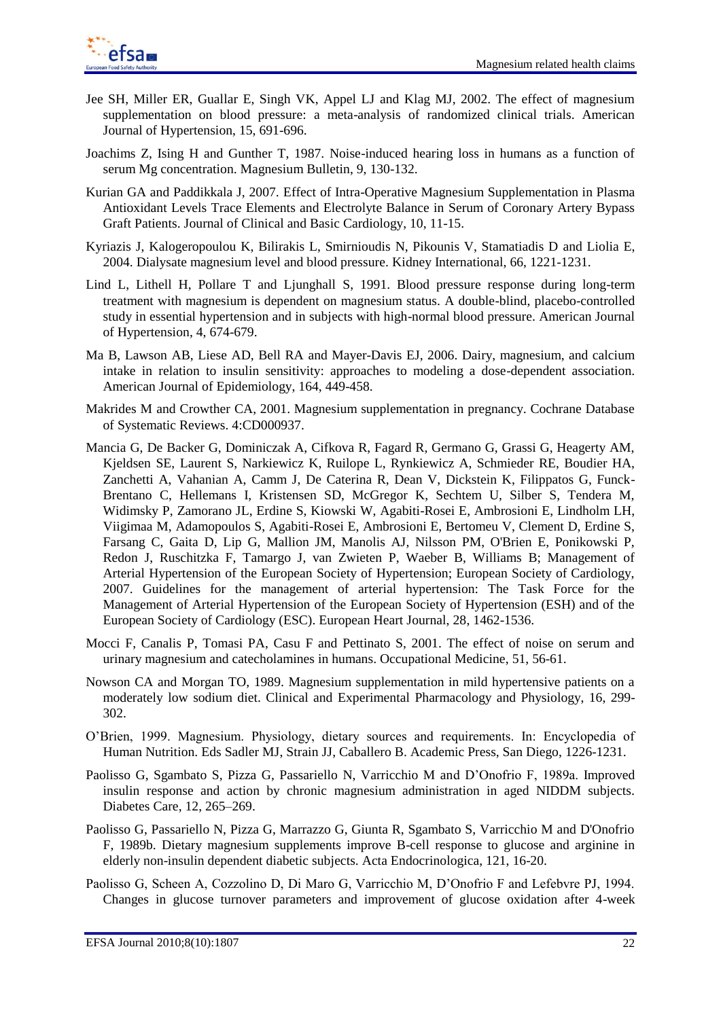

- Jee SH, Miller ER, Guallar E, Singh VK, Appel LJ and Klag MJ, 2002. The effect of magnesium supplementation on blood pressure: a meta-analysis of randomized clinical trials. American Journal of Hypertension, 15, 691-696.
- Joachims Z, Ising H and Gunther T, 1987. Noise-induced hearing loss in humans as a function of serum Mg concentration. Magnesium Bulletin, 9, 130-132.
- Kurian GA and Paddikkala J, 2007. Effect of Intra-Operative Magnesium Supplementation in Plasma Antioxidant Levels Trace Elements and Electrolyte Balance in Serum of Coronary Artery Bypass Graft Patients. Journal of Clinical and Basic Cardiology, 10, 11-15.
- Kyriazis J, Kalogeropoulou K, Bilirakis L, Smirnioudis N, Pikounis V, Stamatiadis D and Liolia E, 2004. Dialysate magnesium level and blood pressure. Kidney International, 66, 1221-1231.
- Lind L, Lithell H, Pollare T and Ljunghall S, 1991. Blood pressure response during long-term treatment with magnesium is dependent on magnesium status. A double-blind, placebo-controlled study in essential hypertension and in subjects with high-normal blood pressure. American Journal of Hypertension, 4, 674-679.
- Ma B, Lawson AB, Liese AD, Bell RA and Mayer-Davis EJ, 2006. Dairy, magnesium, and calcium intake in relation to insulin sensitivity: approaches to modeling a dose-dependent association. American Journal of Epidemiology, 164, 449-458.
- Makrides M and Crowther CA, 2001. Magnesium supplementation in pregnancy. Cochrane Database of Systematic Reviews. 4:CD000937.
- Mancia G, De Backer G, Dominiczak A, Cifkova R, Fagard R, Germano G, Grassi G, Heagerty AM, Kjeldsen SE, Laurent S, Narkiewicz K, Ruilope L, Rynkiewicz A, Schmieder RE, Boudier HA, Zanchetti A, Vahanian A, Camm J, De Caterina R, Dean V, Dickstein K, Filippatos G, Funck-Brentano C, Hellemans I, Kristensen SD, McGregor K, Sechtem U, Silber S, Tendera M, Widimsky P, Zamorano JL, Erdine S, Kiowski W, Agabiti-Rosei E, Ambrosioni E, Lindholm LH, Viigimaa M, Adamopoulos S, Agabiti-Rosei E, Ambrosioni E, Bertomeu V, Clement D, Erdine S, Farsang C, Gaita D, Lip G, Mallion JM, Manolis AJ, Nilsson PM, O'Brien E, Ponikowski P, Redon J, Ruschitzka F, Tamargo J, van Zwieten P, Waeber B, Williams B; Management of Arterial Hypertension of the European Society of Hypertension; European Society of Cardiology, 2007. Guidelines for the management of arterial hypertension: The Task Force for the Management of Arterial Hypertension of the European Society of Hypertension (ESH) and of the European Society of Cardiology (ESC). European Heart Journal, 28, 1462-1536.
- Mocci F, Canalis P, Tomasi PA, Casu F and Pettinato S, 2001. The effect of noise on serum and urinary magnesium and catecholamines in humans. Occupational Medicine, 51, 56-61.
- Nowson CA and Morgan TO, 1989. Magnesium supplementation in mild hypertensive patients on a moderately low sodium diet. Clinical and Experimental Pharmacology and Physiology, 16, 299- 302.
- O'Brien, 1999. Magnesium. Physiology, dietary sources and requirements. In: Encyclopedia of Human Nutrition. Eds Sadler MJ, Strain JJ, Caballero B. Academic Press, San Diego, 1226-1231.
- Paolisso G, Sgambato S, Pizza G, Passariello N, Varricchio M and D'Onofrio F, 1989a. Improved insulin response and action by chronic magnesium administration in aged NIDDM subjects. Diabetes Care, 12, 265–269.
- Paolisso G, Passariello N, Pizza G, Marrazzo G, Giunta R, Sgambato S, Varricchio M and D'Onofrio F, 1989b. Dietary magnesium supplements improve B-cell response to glucose and arginine in elderly non-insulin dependent diabetic subjects. Acta Endocrinologica, 121, 16-20.
- Paolisso G, Scheen A, Cozzolino D, Di Maro G, Varricchio M, D'Onofrio F and Lefebvre PJ, 1994. Changes in glucose turnover parameters and improvement of glucose oxidation after 4-week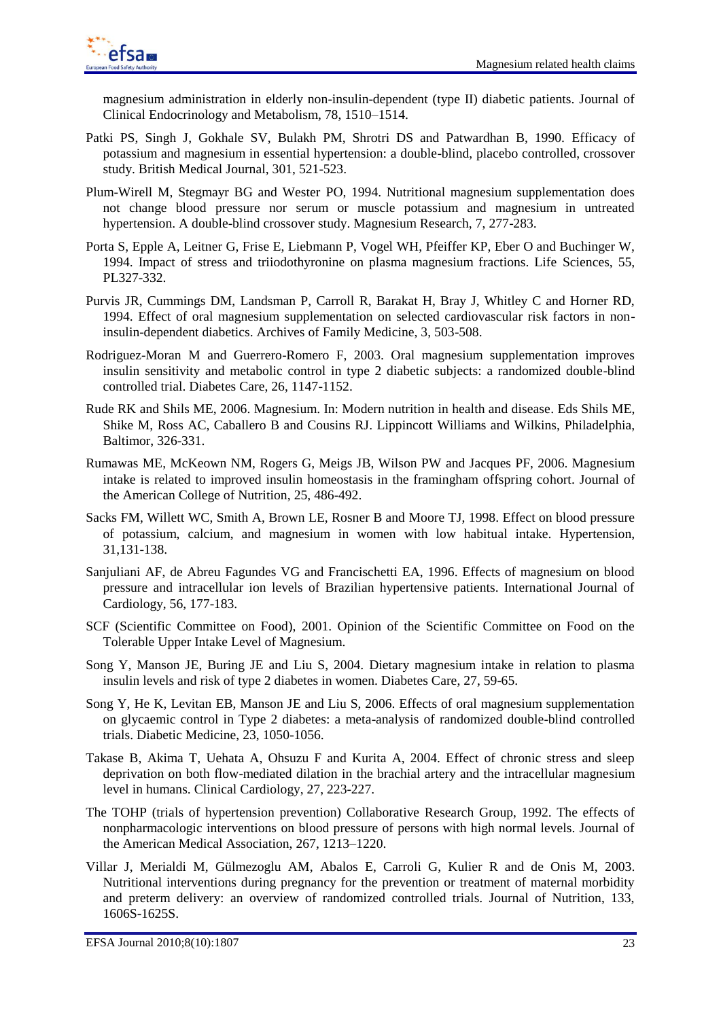

magnesium administration in elderly non-insulin-dependent (type II) diabetic patients. Journal of Clinical Endocrinology and Metabolism, 78, 1510–1514.

- Patki PS, Singh J, Gokhale SV, Bulakh PM, Shrotri DS and Patwardhan B, 1990. Efficacy of potassium and magnesium in essential hypertension: a double-blind, placebo controlled, crossover study. British Medical Journal, 301, 521-523.
- Plum-Wirell M, Stegmayr BG and Wester PO, 1994. Nutritional magnesium supplementation does not change blood pressure nor serum or muscle potassium and magnesium in untreated hypertension. A double-blind crossover study. Magnesium Research, 7, 277-283.
- Porta S, Epple A, Leitner G, Frise E, Liebmann P, Vogel WH, Pfeiffer KP, Eber O and Buchinger W, 1994. Impact of stress and triiodothyronine on plasma magnesium fractions. Life Sciences, 55, PL327-332.
- Purvis JR, Cummings DM, Landsman P, Carroll R, Barakat H, Bray J, Whitley C and Horner RD, 1994. Effect of oral magnesium supplementation on selected cardiovascular risk factors in noninsulin-dependent diabetics. Archives of Family Medicine, 3, 503-508.
- Rodriguez-Moran M and Guerrero-Romero F, 2003. Oral magnesium supplementation improves insulin sensitivity and metabolic control in type 2 diabetic subjects: a randomized double-blind controlled trial. Diabetes Care, 26, 1147-1152.
- Rude RK and Shils ME, 2006. Magnesium. In: Modern nutrition in health and disease. Eds Shils ME, Shike M, Ross AC, Caballero B and Cousins RJ. Lippincott Williams and Wilkins, Philadelphia, Baltimor, 326-331.
- Rumawas ME, McKeown NM, Rogers G, Meigs JB, Wilson PW and Jacques PF, 2006. Magnesium intake is related to improved insulin homeostasis in the framingham offspring cohort. Journal of the American College of Nutrition, 25, 486-492.
- Sacks FM, Willett WC, Smith A, Brown LE, Rosner B and Moore TJ, 1998. Effect on blood pressure of potassium, calcium, and magnesium in women with low habitual intake. Hypertension, 31,131-138.
- Sanjuliani AF, de Abreu Fagundes VG and Francischetti EA, 1996. Effects of magnesium on blood pressure and intracellular ion levels of Brazilian hypertensive patients. International Journal of Cardiology, 56, 177-183.
- SCF (Scientific Committee on Food), 2001. Opinion of the Scientific Committee on Food on the Tolerable Upper Intake Level of Magnesium.
- Song Y, Manson JE, Buring JE and Liu S, 2004. Dietary magnesium intake in relation to plasma insulin levels and risk of type 2 diabetes in women. Diabetes Care, 27, 59-65.
- Song Y, He K, Levitan EB, Manson JE and Liu S, 2006. Effects of oral magnesium supplementation on glycaemic control in Type 2 diabetes: a meta-analysis of randomized double-blind controlled trials. Diabetic Medicine, 23, 1050-1056.
- Takase B, Akima T, Uehata A, Ohsuzu F and Kurita A, 2004. Effect of chronic stress and sleep deprivation on both flow-mediated dilation in the brachial artery and the intracellular magnesium level in humans. Clinical Cardiology, 27, 223-227.
- The TOHP (trials of hypertension prevention) Collaborative Research Group, 1992. The effects of nonpharmacologic interventions on blood pressure of persons with high normal levels. Journal of the American Medical Association, 267, 1213–1220.
- Villar J, Merialdi M, Gülmezoglu AM, Abalos E, Carroli G, Kulier R and de Onis M, 2003. Nutritional interventions during pregnancy for the prevention or treatment of maternal morbidity and preterm delivery: an overview of randomized controlled trials. Journal of Nutrition, 133, 1606S-1625S.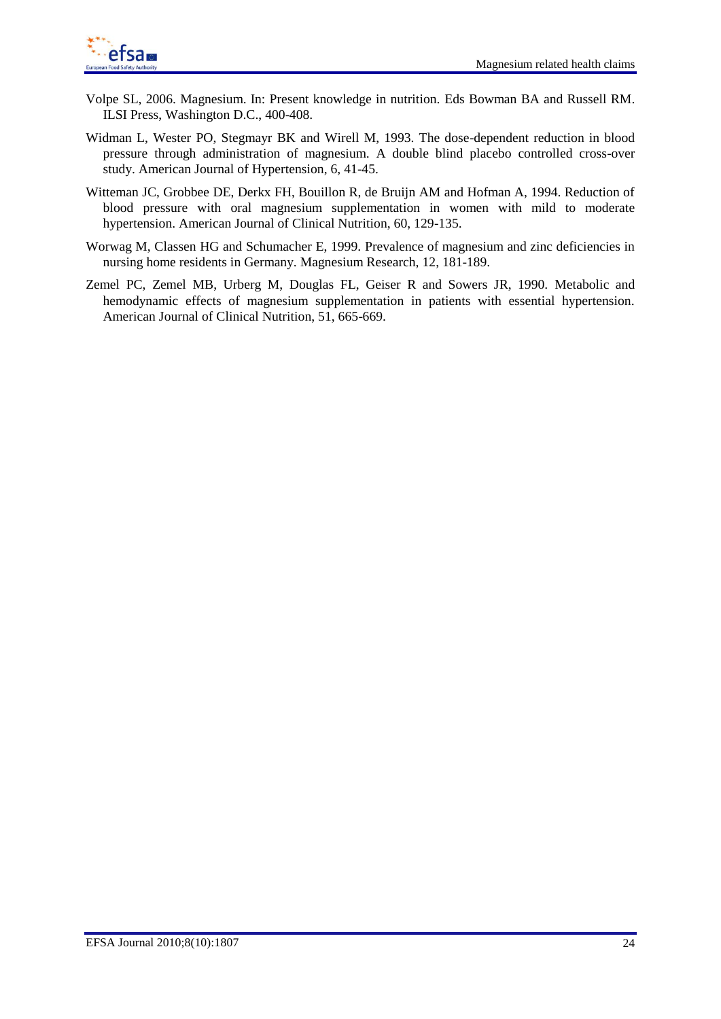

- Volpe SL, 2006. Magnesium. In: Present knowledge in nutrition. Eds Bowman BA and Russell RM. ILSI Press, Washington D.C., 400-408.
- Widman L, Wester PO, Stegmayr BK and Wirell M, 1993. The dose-dependent reduction in blood pressure through administration of magnesium. A double blind placebo controlled cross-over study. American Journal of Hypertension, 6, 41-45.
- Witteman JC, Grobbee DE, Derkx FH, Bouillon R, de Bruijn AM and Hofman A, 1994. Reduction of blood pressure with oral magnesium supplementation in women with mild to moderate hypertension. American Journal of Clinical Nutrition, 60, 129-135.
- Worwag M, Classen HG and Schumacher E, 1999. Prevalence of magnesium and zinc deficiencies in nursing home residents in Germany. Magnesium Research, 12, 181-189.
- Zemel PC, Zemel MB, Urberg M, Douglas FL, Geiser R and Sowers JR, 1990. Metabolic and hemodynamic effects of magnesium supplementation in patients with essential hypertension. American Journal of Clinical Nutrition, 51, 665-669.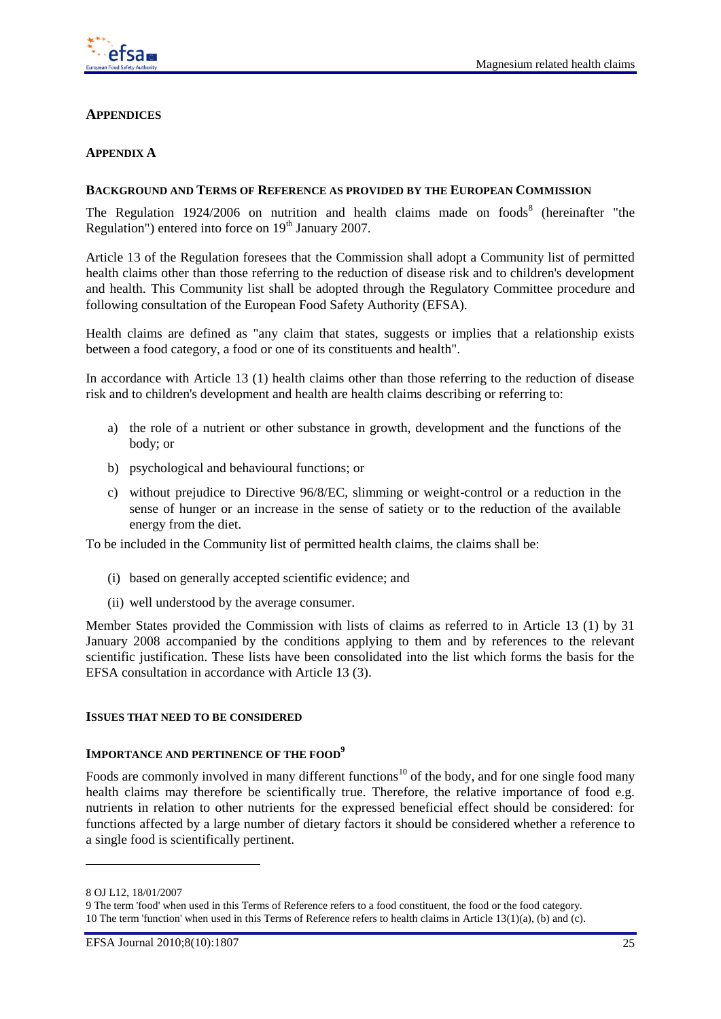

# <span id="page-24-0"></span>**APPENDICES**

## **APPENDIX A**

### **BACKGROUND AND TERMS OF REFERENCE AS PROVIDED BY THE EUROPEAN COMMISSION**

The Regulation  $1924/2006$  on nutrition and health claims made on foods<sup>8</sup> (hereinafter "the Regulation") entered into force on  $19<sup>th</sup>$  January 2007.

Article 13 of the Regulation foresees that the Commission shall adopt a Community list of permitted health claims other than those referring to the reduction of disease risk and to children's development and health. This Community list shall be adopted through the Regulatory Committee procedure and following consultation of the European Food Safety Authority (EFSA).

Health claims are defined as "any claim that states, suggests or implies that a relationship exists between a food category, a food or one of its constituents and health".

In accordance with Article 13 (1) health claims other than those referring to the reduction of disease risk and to children's development and health are health claims describing or referring to:

- a) the role of a nutrient or other substance in growth, development and the functions of the body; or
- b) psychological and behavioural functions; or
- c) without prejudice to Directive 96/8/EC, slimming or weight-control or a reduction in the sense of hunger or an increase in the sense of satiety or to the reduction of the available energy from the diet.

To be included in the Community list of permitted health claims, the claims shall be:

- (i) based on generally accepted scientific evidence; and
- (ii) well understood by the average consumer.

Member States provided the Commission with lists of claims as referred to in Article 13 (1) by 31 January 2008 accompanied by the conditions applying to them and by references to the relevant scientific justification. These lists have been consolidated into the list which forms the basis for the EFSA consultation in accordance with Article 13 (3).

#### **ISSUES THAT NEED TO BE CONSIDERED**

### **IMPORTANCE AND PERTINENCE OF THE FOOD<sup>9</sup>**

Foods are commonly involved in many different functions<sup>10</sup> of the body, and for one single food many health claims may therefore be scientifically true. Therefore, the relative importance of food e.g. nutrients in relation to other nutrients for the expressed beneficial effect should be considered: for functions affected by a large number of dietary factors it should be considered whether a reference to a single food is scientifically pertinent.

l

<sup>8</sup> OJ L12, 18/01/2007

<sup>9</sup> The term 'food' when used in this Terms of Reference refers to a food constituent, the food or the food category. 10 The term 'function' when used in this Terms of Reference refers to health claims in Article 13(1)(a), (b) and (c).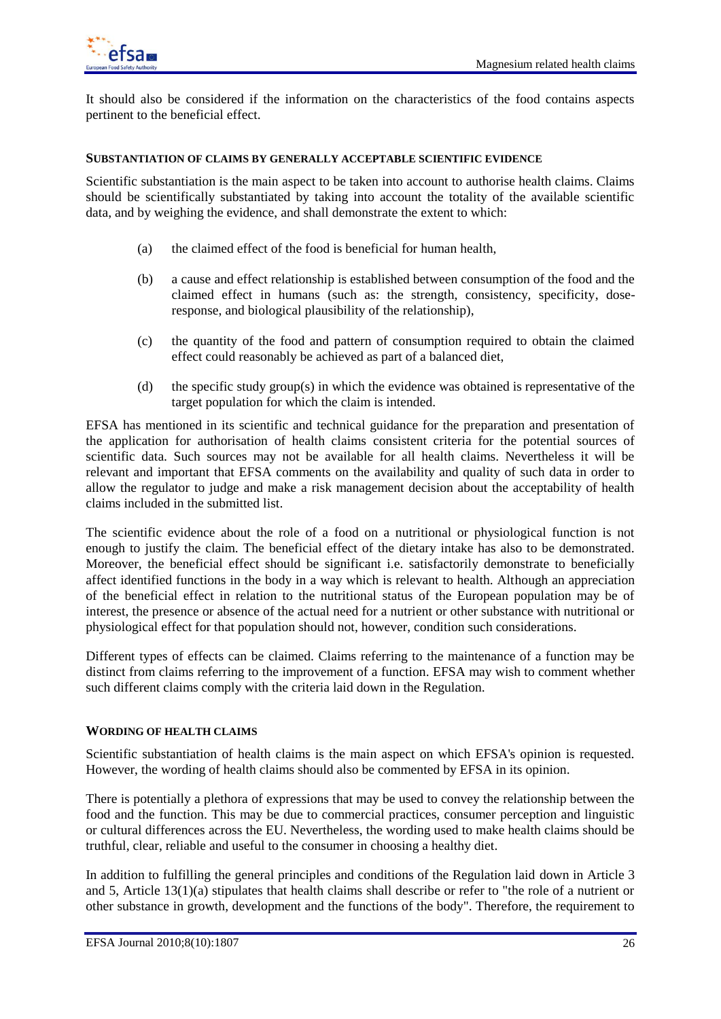

It should also be considered if the information on the characteristics of the food contains aspects pertinent to the beneficial effect.

#### **SUBSTANTIATION OF CLAIMS BY GENERALLY ACCEPTABLE SCIENTIFIC EVIDENCE**

Scientific substantiation is the main aspect to be taken into account to authorise health claims. Claims should be scientifically substantiated by taking into account the totality of the available scientific data, and by weighing the evidence, and shall demonstrate the extent to which:

- (a) the claimed effect of the food is beneficial for human health,
- (b) a cause and effect relationship is established between consumption of the food and the claimed effect in humans (such as: the strength, consistency, specificity, doseresponse, and biological plausibility of the relationship),
- (c) the quantity of the food and pattern of consumption required to obtain the claimed effect could reasonably be achieved as part of a balanced diet,
- (d) the specific study group(s) in which the evidence was obtained is representative of the target population for which the claim is intended.

EFSA has mentioned in its scientific and technical guidance for the preparation and presentation of the application for authorisation of health claims consistent criteria for the potential sources of scientific data. Such sources may not be available for all health claims. Nevertheless it will be relevant and important that EFSA comments on the availability and quality of such data in order to allow the regulator to judge and make a risk management decision about the acceptability of health claims included in the submitted list.

The scientific evidence about the role of a food on a nutritional or physiological function is not enough to justify the claim. The beneficial effect of the dietary intake has also to be demonstrated. Moreover, the beneficial effect should be significant i.e. satisfactorily demonstrate to beneficially affect identified functions in the body in a way which is relevant to health. Although an appreciation of the beneficial effect in relation to the nutritional status of the European population may be of interest, the presence or absence of the actual need for a nutrient or other substance with nutritional or physiological effect for that population should not, however, condition such considerations.

Different types of effects can be claimed. Claims referring to the maintenance of a function may be distinct from claims referring to the improvement of a function. EFSA may wish to comment whether such different claims comply with the criteria laid down in the Regulation.

#### **WORDING OF HEALTH CLAIMS**

Scientific substantiation of health claims is the main aspect on which EFSA's opinion is requested. However, the wording of health claims should also be commented by EFSA in its opinion.

There is potentially a plethora of expressions that may be used to convey the relationship between the food and the function. This may be due to commercial practices, consumer perception and linguistic or cultural differences across the EU. Nevertheless, the wording used to make health claims should be truthful, clear, reliable and useful to the consumer in choosing a healthy diet.

In addition to fulfilling the general principles and conditions of the Regulation laid down in Article 3 and 5, Article 13(1)(a) stipulates that health claims shall describe or refer to "the role of a nutrient or other substance in growth, development and the functions of the body". Therefore, the requirement to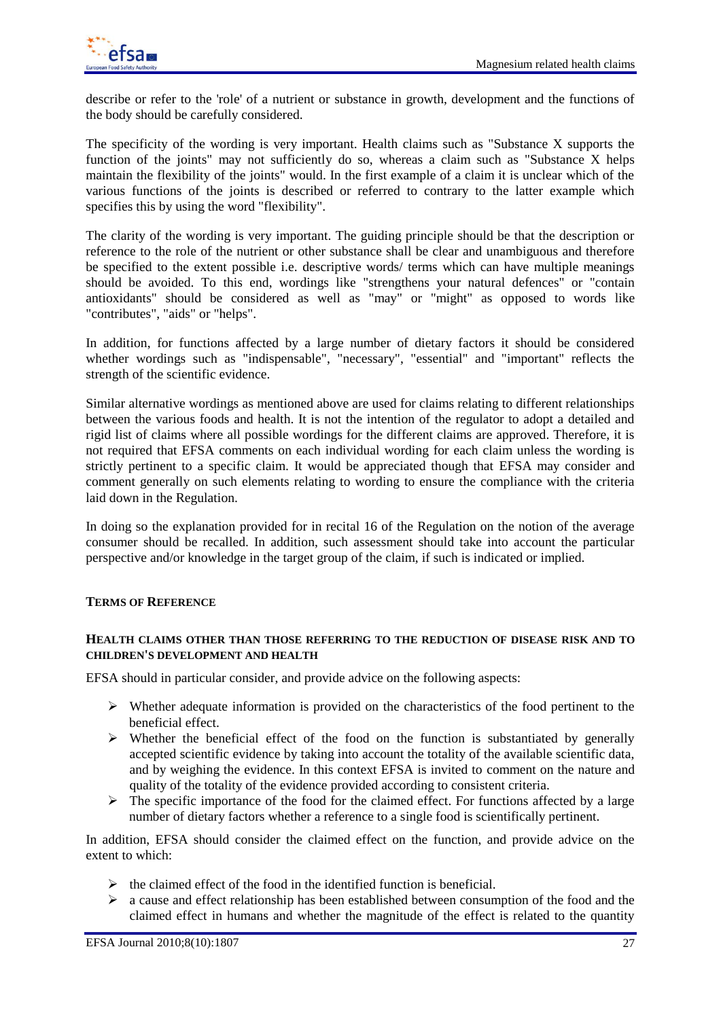

describe or refer to the 'role' of a nutrient or substance in growth, development and the functions of the body should be carefully considered.

The specificity of the wording is very important. Health claims such as "Substance X supports the function of the joints" may not sufficiently do so, whereas a claim such as "Substance X helps maintain the flexibility of the joints" would. In the first example of a claim it is unclear which of the various functions of the joints is described or referred to contrary to the latter example which specifies this by using the word "flexibility".

The clarity of the wording is very important. The guiding principle should be that the description or reference to the role of the nutrient or other substance shall be clear and unambiguous and therefore be specified to the extent possible i.e. descriptive words/ terms which can have multiple meanings should be avoided. To this end, wordings like "strengthens your natural defences" or "contain antioxidants" should be considered as well as "may" or "might" as opposed to words like "contributes", "aids" or "helps".

In addition, for functions affected by a large number of dietary factors it should be considered whether wordings such as "indispensable", "necessary", "essential" and "important" reflects the strength of the scientific evidence.

Similar alternative wordings as mentioned above are used for claims relating to different relationships between the various foods and health. It is not the intention of the regulator to adopt a detailed and rigid list of claims where all possible wordings for the different claims are approved. Therefore, it is not required that EFSA comments on each individual wording for each claim unless the wording is strictly pertinent to a specific claim. It would be appreciated though that EFSA may consider and comment generally on such elements relating to wording to ensure the compliance with the criteria laid down in the Regulation.

In doing so the explanation provided for in recital 16 of the Regulation on the notion of the average consumer should be recalled. In addition, such assessment should take into account the particular perspective and/or knowledge in the target group of the claim, if such is indicated or implied.

# **TERMS OF REFERENCE**

### **HEALTH CLAIMS OTHER THAN THOSE REFERRING TO THE REDUCTION OF DISEASE RISK AND TO CHILDREN'S DEVELOPMENT AND HEALTH**

EFSA should in particular consider, and provide advice on the following aspects:

- $\triangleright$  Whether adequate information is provided on the characteristics of the food pertinent to the beneficial effect.
- $\triangleright$  Whether the beneficial effect of the food on the function is substantiated by generally accepted scientific evidence by taking into account the totality of the available scientific data, and by weighing the evidence. In this context EFSA is invited to comment on the nature and quality of the totality of the evidence provided according to consistent criteria.
- $\triangleright$  The specific importance of the food for the claimed effect. For functions affected by a large number of dietary factors whether a reference to a single food is scientifically pertinent.

In addition, EFSA should consider the claimed effect on the function, and provide advice on the extent to which:

- $\triangleright$  the claimed effect of the food in the identified function is beneficial.
- $\triangleright$  a cause and effect relationship has been established between consumption of the food and the claimed effect in humans and whether the magnitude of the effect is related to the quantity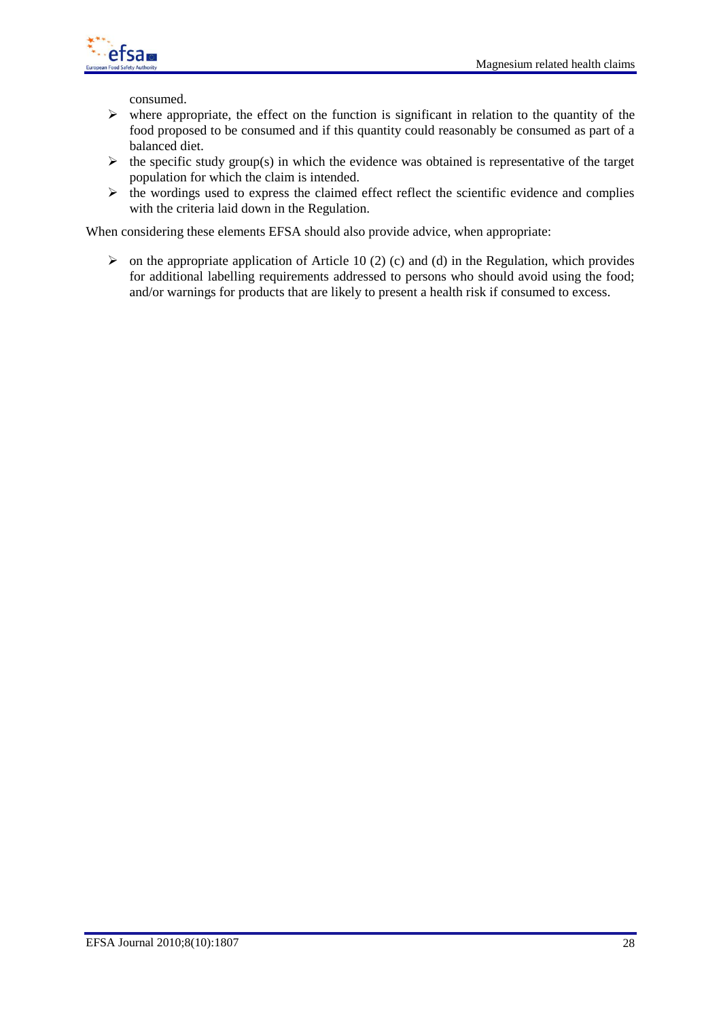

consumed.

- $\triangleright$  where appropriate, the effect on the function is significant in relation to the quantity of the food proposed to be consumed and if this quantity could reasonably be consumed as part of a balanced diet.
- $\triangleright$  the specific study group(s) in which the evidence was obtained is representative of the target population for which the claim is intended.
- $\triangleright$  the wordings used to express the claimed effect reflect the scientific evidence and complies with the criteria laid down in the Regulation.

When considering these elements EFSA should also provide advice, when appropriate:

 $\triangleright$  on the appropriate application of Article 10 (2) (c) and (d) in the Regulation, which provides for additional labelling requirements addressed to persons who should avoid using the food; and/or warnings for products that are likely to present a health risk if consumed to excess.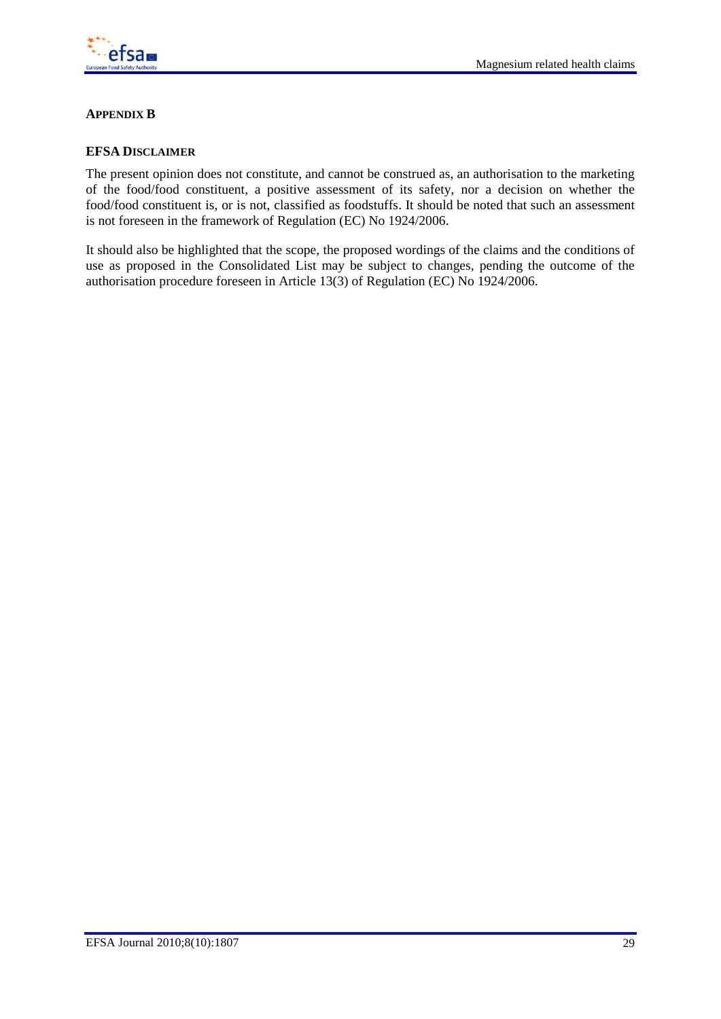

# **APPENDIX B**

### **EFSA DISCLAIMER**

The present opinion does not constitute, and cannot be construed as, an authorisation to the marketing of the food/food constituent, a positive assessment of its safety, nor a decision on whether the food/food constituent is, or is not, classified as foodstuffs. It should be noted that such an assessment is not foreseen in the framework of Regulation (EC) No 1924/2006.

It should also be highlighted that the scope, the proposed wordings of the claims and the conditions of use as proposed in the Consolidated List may be subject to changes, pending the outcome of the authorisation procedure foreseen in Article 13(3) of Regulation (EC) No 1924/2006.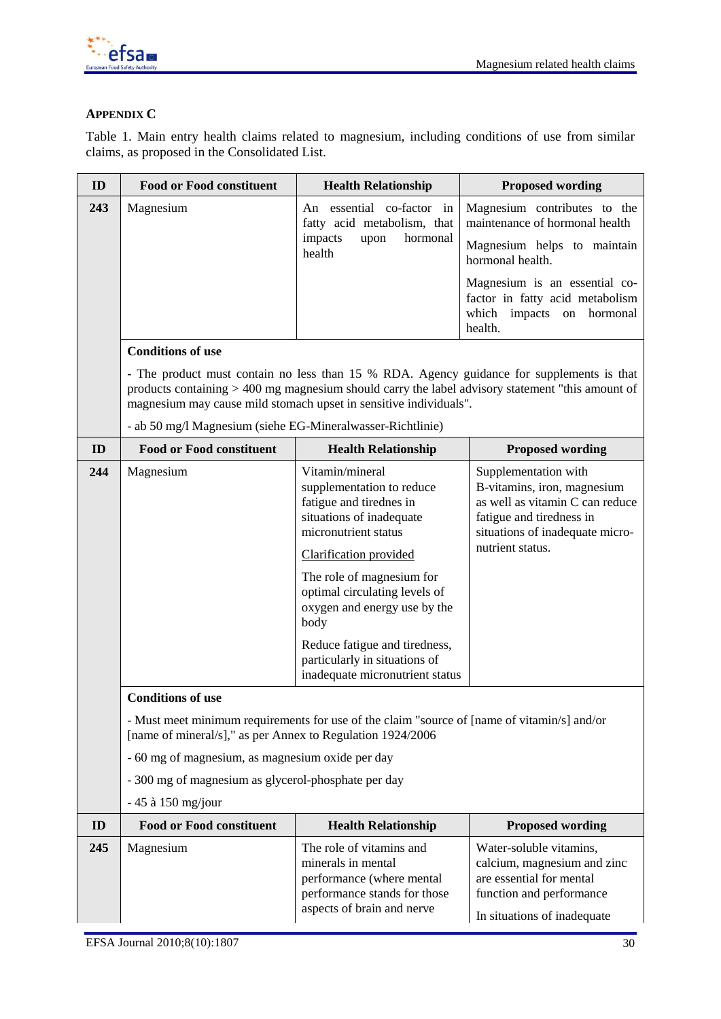

# **APPENDIX C**

Table 1. Main entry health claims related to magnesium, including conditions of use from similar claims, as proposed in the Consolidated List.

| 243 | Magnesium                                                                                                                                                 | An essential co-factor in<br>fatty acid metabolism, that<br>impacts<br>hormonal<br>upon<br>health                                                            | Magnesium contributes to the<br>maintenance of hormonal health<br>Magnesium helps to maintain                                                                                                   |  |
|-----|-----------------------------------------------------------------------------------------------------------------------------------------------------------|--------------------------------------------------------------------------------------------------------------------------------------------------------------|-------------------------------------------------------------------------------------------------------------------------------------------------------------------------------------------------|--|
|     |                                                                                                                                                           |                                                                                                                                                              |                                                                                                                                                                                                 |  |
|     |                                                                                                                                                           |                                                                                                                                                              | hormonal health.                                                                                                                                                                                |  |
|     |                                                                                                                                                           |                                                                                                                                                              | Magnesium is an essential co-<br>factor in fatty acid metabolism<br>impacts<br>hormonal<br>which<br>on<br>health.                                                                               |  |
|     | <b>Conditions of use</b>                                                                                                                                  |                                                                                                                                                              |                                                                                                                                                                                                 |  |
|     | magnesium may cause mild stomach upset in sensitive individuals".                                                                                         |                                                                                                                                                              | - The product must contain no less than 15 % RDA. Agency guidance for supplements is that<br>products containing $> 400$ mg magnesium should carry the label advisory statement "this amount of |  |
|     | - ab 50 mg/l Magnesium (siehe EG-Mineralwasser-Richtlinie)                                                                                                |                                                                                                                                                              |                                                                                                                                                                                                 |  |
| ID  | <b>Food or Food constituent</b>                                                                                                                           | <b>Health Relationship</b>                                                                                                                                   | <b>Proposed wording</b>                                                                                                                                                                         |  |
| 244 | Magnesium                                                                                                                                                 | Vitamin/mineral<br>supplementation to reduce<br>fatigue and tirednes in<br>situations of inadequate<br>micronutrient status<br><b>Clarification</b> provided | Supplementation with<br>B-vitamins, iron, magnesium<br>as well as vitamin C can reduce<br>fatigue and tiredness in<br>situations of inadequate micro-<br>nutrient status.                       |  |
|     |                                                                                                                                                           | The role of magnesium for<br>optimal circulating levels of<br>oxygen and energy use by the<br>body                                                           |                                                                                                                                                                                                 |  |
|     |                                                                                                                                                           | Reduce fatigue and tiredness,<br>particularly in situations of<br>inadequate micronutrient status                                                            |                                                                                                                                                                                                 |  |
|     | <b>Conditions of use</b>                                                                                                                                  |                                                                                                                                                              |                                                                                                                                                                                                 |  |
|     | - Must meet minimum requirements for use of the claim "source of [name of vitamin/s] and/or<br>[name of mineral/s]," as per Annex to Regulation 1924/2006 |                                                                                                                                                              |                                                                                                                                                                                                 |  |
|     | - 60 mg of magnesium, as magnesium oxide per day                                                                                                          |                                                                                                                                                              |                                                                                                                                                                                                 |  |
|     | - 300 mg of magnesium as glycerol-phosphate per day                                                                                                       |                                                                                                                                                              |                                                                                                                                                                                                 |  |
|     | $-45$ à 150 mg/jour                                                                                                                                       |                                                                                                                                                              |                                                                                                                                                                                                 |  |
| ID  | <b>Food or Food constituent</b>                                                                                                                           | <b>Health Relationship</b>                                                                                                                                   | <b>Proposed wording</b>                                                                                                                                                                         |  |
| 245 | Magnesium                                                                                                                                                 | The role of vitamins and<br>minerals in mental<br>performance (where mental<br>performance stands for those<br>aspects of brain and nerve                    | Water-soluble vitamins,<br>calcium, magnesium and zinc<br>are essential for mental<br>function and performance<br>In situations of inadequate                                                   |  |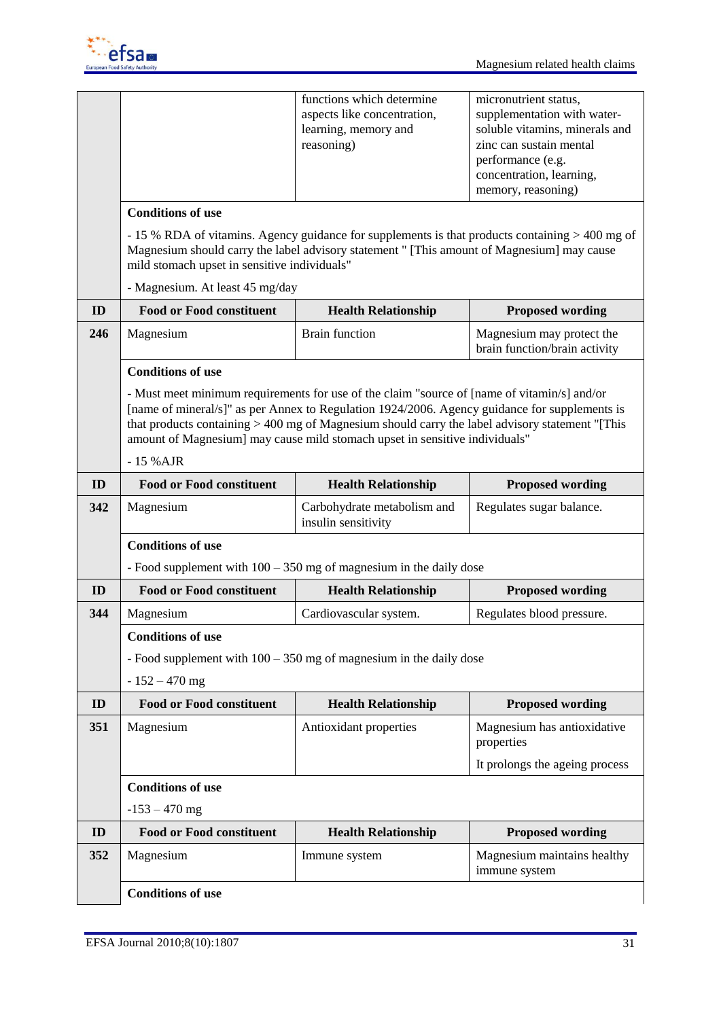

|     |                                                                                                                                                                                                                                               | functions which determine<br>aspects like concentration,<br>learning, memory and<br>reasoning)                                                                                                                                                                                                                                                                                  | micronutrient status,<br>supplementation with water-<br>soluble vitamins, minerals and<br>zinc can sustain mental |
|-----|-----------------------------------------------------------------------------------------------------------------------------------------------------------------------------------------------------------------------------------------------|---------------------------------------------------------------------------------------------------------------------------------------------------------------------------------------------------------------------------------------------------------------------------------------------------------------------------------------------------------------------------------|-------------------------------------------------------------------------------------------------------------------|
|     |                                                                                                                                                                                                                                               |                                                                                                                                                                                                                                                                                                                                                                                 | performance (e.g.<br>concentration, learning,<br>memory, reasoning)                                               |
|     | <b>Conditions of use</b>                                                                                                                                                                                                                      |                                                                                                                                                                                                                                                                                                                                                                                 |                                                                                                                   |
|     | - 15 % RDA of vitamins. Agency guidance for supplements is that products containing > 400 mg of<br>Magnesium should carry the label advisory statement " [This amount of Magnesium] may cause<br>mild stomach upset in sensitive individuals" |                                                                                                                                                                                                                                                                                                                                                                                 |                                                                                                                   |
|     | - Magnesium. At least 45 mg/day                                                                                                                                                                                                               |                                                                                                                                                                                                                                                                                                                                                                                 |                                                                                                                   |
| ID  | <b>Food or Food constituent</b>                                                                                                                                                                                                               | <b>Health Relationship</b>                                                                                                                                                                                                                                                                                                                                                      | <b>Proposed wording</b>                                                                                           |
| 246 | Magnesium                                                                                                                                                                                                                                     | <b>Brain function</b>                                                                                                                                                                                                                                                                                                                                                           | Magnesium may protect the<br>brain function/brain activity                                                        |
|     | <b>Conditions of use</b>                                                                                                                                                                                                                      |                                                                                                                                                                                                                                                                                                                                                                                 |                                                                                                                   |
|     |                                                                                                                                                                                                                                               | - Must meet minimum requirements for use of the claim "source of [name of vitamin/s] and/or<br>[name of mineral/s]" as per Annex to Regulation 1924/2006. Agency guidance for supplements is<br>that products containing $>400$ mg of Magnesium should carry the label advisory statement "[This<br>amount of Magnesium] may cause mild stomach upset in sensitive individuals" |                                                                                                                   |
|     | $-15$ % $A$ JR                                                                                                                                                                                                                                |                                                                                                                                                                                                                                                                                                                                                                                 |                                                                                                                   |
| ID  | <b>Food or Food constituent</b>                                                                                                                                                                                                               | <b>Health Relationship</b>                                                                                                                                                                                                                                                                                                                                                      | <b>Proposed wording</b>                                                                                           |
|     |                                                                                                                                                                                                                                               | Carbohydrate metabolism and                                                                                                                                                                                                                                                                                                                                                     |                                                                                                                   |
| 342 | Magnesium                                                                                                                                                                                                                                     | insulin sensitivity                                                                                                                                                                                                                                                                                                                                                             | Regulates sugar balance.                                                                                          |
|     | <b>Conditions of use</b>                                                                                                                                                                                                                      |                                                                                                                                                                                                                                                                                                                                                                                 |                                                                                                                   |
|     |                                                                                                                                                                                                                                               | - Food supplement with $100 - 350$ mg of magnesium in the daily dose                                                                                                                                                                                                                                                                                                            |                                                                                                                   |
| ID  | <b>Food or Food constituent</b>                                                                                                                                                                                                               | <b>Health Relationship</b>                                                                                                                                                                                                                                                                                                                                                      | <b>Proposed wording</b>                                                                                           |
| 344 | Magnesium                                                                                                                                                                                                                                     | Cardiovascular system.                                                                                                                                                                                                                                                                                                                                                          | Regulates blood pressure.                                                                                         |
|     | <b>Conditions of use</b>                                                                                                                                                                                                                      |                                                                                                                                                                                                                                                                                                                                                                                 |                                                                                                                   |
|     |                                                                                                                                                                                                                                               | - Food supplement with $100 - 350$ mg of magnesium in the daily dose                                                                                                                                                                                                                                                                                                            |                                                                                                                   |
|     | $-152 - 470$ mg                                                                                                                                                                                                                               |                                                                                                                                                                                                                                                                                                                                                                                 |                                                                                                                   |
| ID  | <b>Food or Food constituent</b>                                                                                                                                                                                                               | <b>Health Relationship</b>                                                                                                                                                                                                                                                                                                                                                      | <b>Proposed wording</b>                                                                                           |
| 351 | Magnesium                                                                                                                                                                                                                                     | Antioxidant properties                                                                                                                                                                                                                                                                                                                                                          | Magnesium has antioxidative<br>properties                                                                         |
|     |                                                                                                                                                                                                                                               |                                                                                                                                                                                                                                                                                                                                                                                 | It prolongs the ageing process                                                                                    |
|     | <b>Conditions of use</b>                                                                                                                                                                                                                      |                                                                                                                                                                                                                                                                                                                                                                                 |                                                                                                                   |
|     | $-153 - 470$ mg                                                                                                                                                                                                                               |                                                                                                                                                                                                                                                                                                                                                                                 |                                                                                                                   |
| ID  | <b>Food or Food constituent</b>                                                                                                                                                                                                               | <b>Health Relationship</b>                                                                                                                                                                                                                                                                                                                                                      | <b>Proposed wording</b>                                                                                           |
| 352 | Magnesium                                                                                                                                                                                                                                     | Immune system                                                                                                                                                                                                                                                                                                                                                                   | Magnesium maintains healthy<br>immune system                                                                      |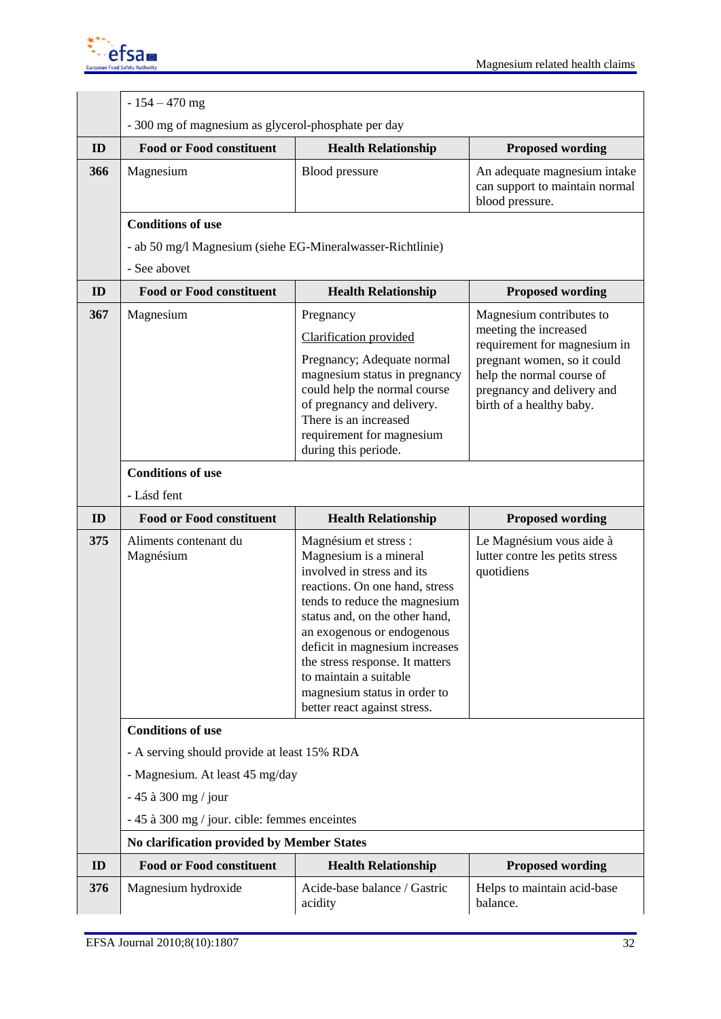

|     | $-154 - 470$ mg                                                            |                                                                                                                                                                                                                                                                                                                                                                                 |                                                                                                                                                                                                         |
|-----|----------------------------------------------------------------------------|---------------------------------------------------------------------------------------------------------------------------------------------------------------------------------------------------------------------------------------------------------------------------------------------------------------------------------------------------------------------------------|---------------------------------------------------------------------------------------------------------------------------------------------------------------------------------------------------------|
|     | - 300 mg of magnesium as glycerol-phosphate per day                        |                                                                                                                                                                                                                                                                                                                                                                                 |                                                                                                                                                                                                         |
| ID  | <b>Food or Food constituent</b>                                            | <b>Health Relationship</b>                                                                                                                                                                                                                                                                                                                                                      | <b>Proposed wording</b>                                                                                                                                                                                 |
| 366 | Magnesium                                                                  | <b>Blood</b> pressure                                                                                                                                                                                                                                                                                                                                                           | An adequate magnesium intake<br>can support to maintain normal<br>blood pressure.                                                                                                                       |
|     | <b>Conditions of use</b>                                                   |                                                                                                                                                                                                                                                                                                                                                                                 |                                                                                                                                                                                                         |
|     | - ab 50 mg/l Magnesium (siehe EG-Mineralwasser-Richtlinie)<br>- See abovet |                                                                                                                                                                                                                                                                                                                                                                                 |                                                                                                                                                                                                         |
|     |                                                                            |                                                                                                                                                                                                                                                                                                                                                                                 |                                                                                                                                                                                                         |
| ID  | <b>Food or Food constituent</b>                                            | <b>Health Relationship</b>                                                                                                                                                                                                                                                                                                                                                      | <b>Proposed wording</b>                                                                                                                                                                                 |
| 367 | Magnesium                                                                  | Pregnancy<br><b>Clarification</b> provided<br>Pregnancy; Adequate normal<br>magnesium status in pregnancy<br>could help the normal course<br>of pregnancy and delivery.<br>There is an increased<br>requirement for magnesium<br>during this periode.                                                                                                                           | Magnesium contributes to<br>meeting the increased<br>requirement for magnesium in<br>pregnant women, so it could<br>help the normal course of<br>pregnancy and delivery and<br>birth of a healthy baby. |
|     | <b>Conditions of use</b>                                                   |                                                                                                                                                                                                                                                                                                                                                                                 |                                                                                                                                                                                                         |
|     | - Lásd fent                                                                |                                                                                                                                                                                                                                                                                                                                                                                 |                                                                                                                                                                                                         |
|     |                                                                            |                                                                                                                                                                                                                                                                                                                                                                                 |                                                                                                                                                                                                         |
| ID  | <b>Food or Food constituent</b>                                            | <b>Health Relationship</b>                                                                                                                                                                                                                                                                                                                                                      | <b>Proposed wording</b>                                                                                                                                                                                 |
| 375 | Aliments contenant du<br>Magnésium                                         | Magnésium et stress :<br>Magnesium is a mineral<br>involved in stress and its<br>reactions. On one hand, stress<br>tends to reduce the magnesium<br>status and, on the other hand,<br>an exogenous or endogenous<br>deficit in magnesium increases<br>the stress response. It matters<br>to maintain a suitable<br>magnesium status in order to<br>better react against stress. | Le Magnésium vous aide à<br>lutter contre les petits stress<br>quotidiens                                                                                                                               |
|     | <b>Conditions of use</b>                                                   |                                                                                                                                                                                                                                                                                                                                                                                 |                                                                                                                                                                                                         |
|     | - A serving should provide at least 15% RDA                                |                                                                                                                                                                                                                                                                                                                                                                                 |                                                                                                                                                                                                         |
|     | - Magnesium. At least 45 mg/day                                            |                                                                                                                                                                                                                                                                                                                                                                                 |                                                                                                                                                                                                         |
|     | $-45$ à 300 mg / jour                                                      |                                                                                                                                                                                                                                                                                                                                                                                 |                                                                                                                                                                                                         |
|     | - 45 à 300 mg / jour. cible: femmes enceintes                              |                                                                                                                                                                                                                                                                                                                                                                                 |                                                                                                                                                                                                         |
|     | No clarification provided by Member States                                 |                                                                                                                                                                                                                                                                                                                                                                                 |                                                                                                                                                                                                         |
| ID  | <b>Food or Food constituent</b>                                            | <b>Health Relationship</b>                                                                                                                                                                                                                                                                                                                                                      | <b>Proposed wording</b>                                                                                                                                                                                 |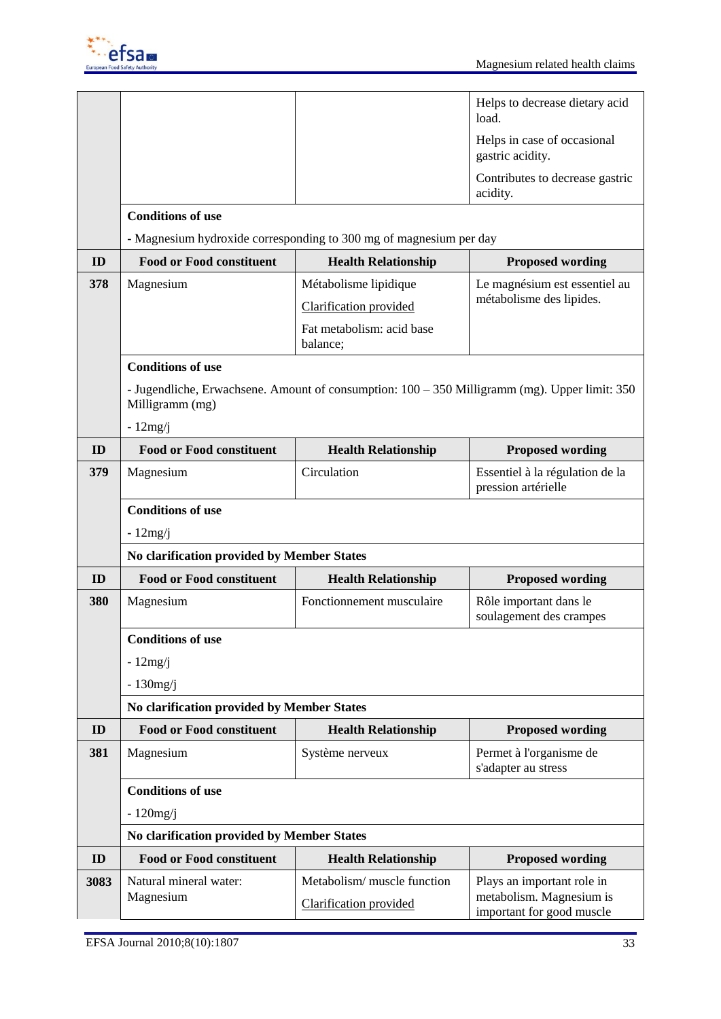

|      |                                                                                                                  |                                                                    | Helps to decrease dietary acid<br>load.                   |
|------|------------------------------------------------------------------------------------------------------------------|--------------------------------------------------------------------|-----------------------------------------------------------|
|      |                                                                                                                  |                                                                    | Helps in case of occasional<br>gastric acidity.           |
|      |                                                                                                                  |                                                                    | Contributes to decrease gastric<br>acidity.               |
|      | <b>Conditions of use</b>                                                                                         |                                                                    |                                                           |
|      |                                                                                                                  | - Magnesium hydroxide corresponding to 300 mg of magnesium per day |                                                           |
| ID   | <b>Food or Food constituent</b>                                                                                  | <b>Health Relationship</b>                                         | <b>Proposed wording</b>                                   |
| 378  | Magnesium                                                                                                        | Métabolisme lipidique<br><b>Clarification</b> provided             | Le magnésium est essentiel au<br>métabolisme des lipides. |
|      |                                                                                                                  | Fat metabolism: acid base<br>balance;                              |                                                           |
|      | <b>Conditions of use</b>                                                                                         |                                                                    |                                                           |
|      | - Jugendliche, Erwachsene. Amount of consumption: 100 – 350 Milligramm (mg). Upper limit: 350<br>Milligramm (mg) |                                                                    |                                                           |
|      | $-12mg/j$                                                                                                        |                                                                    |                                                           |
| ID   | <b>Food or Food constituent</b>                                                                                  | <b>Health Relationship</b>                                         | <b>Proposed wording</b>                                   |
| 379  | Magnesium                                                                                                        | Circulation                                                        | Essentiel à la régulation de la<br>pression artérielle    |
|      | <b>Conditions of use</b>                                                                                         |                                                                    |                                                           |
|      |                                                                                                                  |                                                                    |                                                           |
|      | $-12mg/j$                                                                                                        |                                                                    |                                                           |
|      | No clarification provided by Member States                                                                       |                                                                    |                                                           |
| ID   | <b>Food or Food constituent</b>                                                                                  | <b>Health Relationship</b>                                         | <b>Proposed wording</b>                                   |
| 380  | Magnesium                                                                                                        | Fonctionnement musculaire                                          | Rôle important dans le<br>soulagement des crampes         |
|      | <b>Conditions of use</b>                                                                                         |                                                                    |                                                           |
|      | $-12mg/j$                                                                                                        |                                                                    |                                                           |
|      | $-130$ mg/j                                                                                                      |                                                                    |                                                           |
|      | No clarification provided by Member States                                                                       |                                                                    |                                                           |
| ID   | <b>Food or Food constituent</b>                                                                                  | <b>Health Relationship</b>                                         | <b>Proposed wording</b>                                   |
| 381  | Magnesium                                                                                                        | Système nerveux                                                    | Permet à l'organisme de<br>s'adapter au stress            |
|      | <b>Conditions of use</b>                                                                                         |                                                                    |                                                           |
|      | $-120$ mg/j                                                                                                      |                                                                    |                                                           |
|      | No clarification provided by Member States                                                                       |                                                                    |                                                           |
| ID   | <b>Food or Food constituent</b>                                                                                  | <b>Health Relationship</b>                                         | <b>Proposed wording</b>                                   |
| 3083 | Natural mineral water:<br>Magnesium                                                                              | Metabolism/muscle function                                         | Plays an important role in<br>metabolism. Magnesium is    |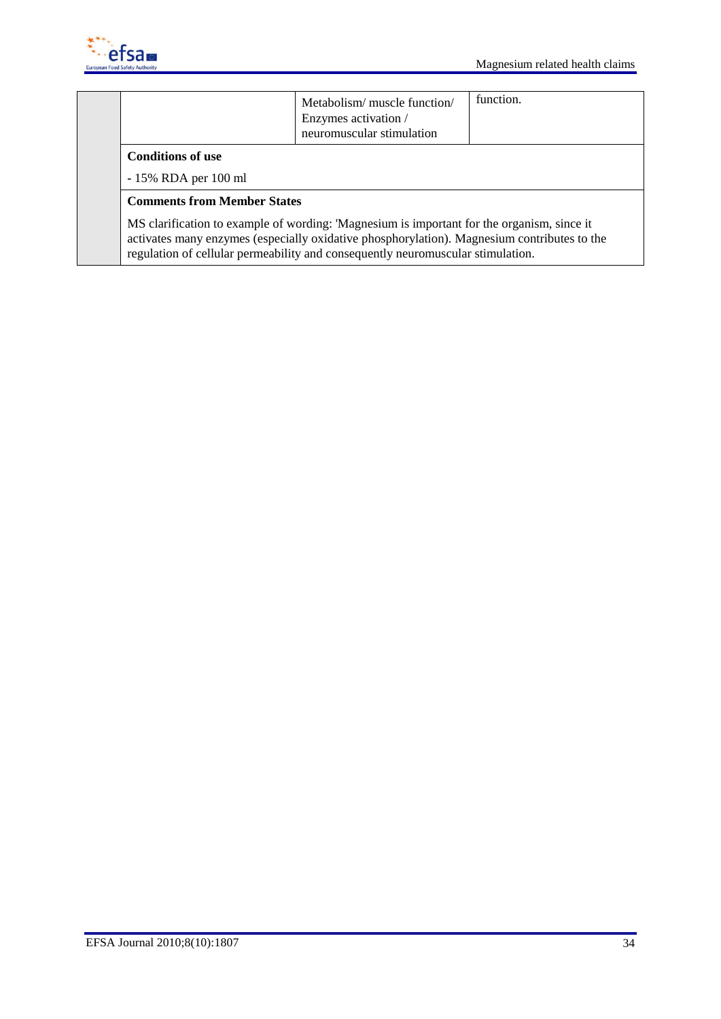

|                                    | Metabolism/ muscle function/<br>Enzymes activation /<br>neuromuscular stimulation                                                                                                                                                                                            | function. |
|------------------------------------|------------------------------------------------------------------------------------------------------------------------------------------------------------------------------------------------------------------------------------------------------------------------------|-----------|
| <b>Conditions of use</b>           |                                                                                                                                                                                                                                                                              |           |
| $-15\%$ RDA per 100 ml             |                                                                                                                                                                                                                                                                              |           |
| <b>Comments from Member States</b> |                                                                                                                                                                                                                                                                              |           |
|                                    | MS clarification to example of wording: 'Magnesium is important for the organism, since it<br>activates many enzymes (especially oxidative phosphorylation). Magnesium contributes to the<br>regulation of cellular permeability and consequently neuromuscular stimulation. |           |